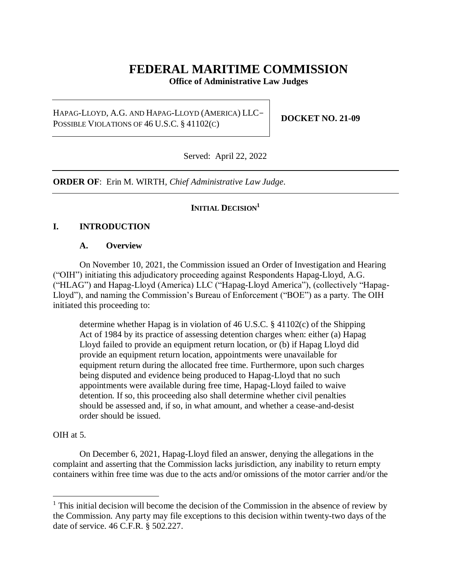# **FEDERAL MARITIME COMMISSION**

**Office of Administrative Law Judges**

HAPAG-LLOYD, A.G. AND HAPAG-LLOYD (AMERICA) LLC-POSSIBLE VIOLATIONS OF 46 U.S.C. § 41102(C)

**DOCKET NO. 21-09**

Served: April 22, 2022

**ORDER OF**: Erin M. WIRTH, *Chief Administrative Law Judge*.

### **INITIAL DECISION<sup>1</sup>**

#### **I. INTRODUCTION**

#### **A. Overview**

On November 10, 2021, the Commission issued an Order of Investigation and Hearing ("OIH") initiating this adjudicatory proceeding against Respondents Hapag-Lloyd, A.G. ("HLAG") and Hapag-Lloyd (America) LLC ("Hapag-Lloyd America"), (collectively "Hapag-Lloyd"), and naming the Commission's Bureau of Enforcement ("BOE") as a party. The OIH initiated this proceeding to:

determine whether Hapag is in violation of 46 U.S.C. § 41102(c) of the Shipping Act of 1984 by its practice of assessing detention charges when: either (a) Hapag Lloyd failed to provide an equipment return location, or (b) if Hapag Lloyd did provide an equipment return location, appointments were unavailable for equipment return during the allocated free time. Furthermore, upon such charges being disputed and evidence being produced to Hapag-Lloyd that no such appointments were available during free time, Hapag-Lloyd failed to waive detention. If so, this proceeding also shall determine whether civil penalties should be assessed and, if so, in what amount, and whether a cease-and-desist order should be issued.

#### OIH at 5.

 $\overline{a}$ 

On December 6, 2021, Hapag-Lloyd filed an answer, denying the allegations in the complaint and asserting that the Commission lacks jurisdiction, any inability to return empty containers within free time was due to the acts and/or omissions of the motor carrier and/or the

 $<sup>1</sup>$  This initial decision will become the decision of the Commission in the absence of review by</sup> the Commission. Any party may file exceptions to this decision within twenty-two days of the date of service. 46 C.F.R. § 502.227.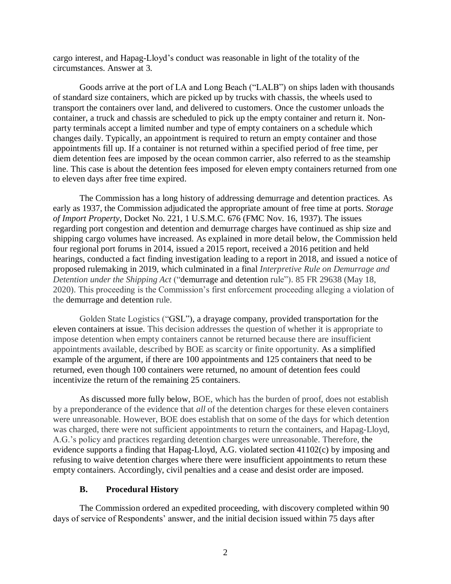cargo interest, and Hapag-Lloyd's conduct was reasonable in light of the totality of the circumstances. Answer at 3.

Goods arrive at the port of LA and Long Beach ("LALB") on ships laden with thousands of standard size containers, which are picked up by trucks with chassis, the wheels used to transport the containers over land, and delivered to customers. Once the customer unloads the container, a truck and chassis are scheduled to pick up the empty container and return it. Nonparty terminals accept a limited number and type of empty containers on a schedule which changes daily. Typically, an appointment is required to return an empty container and those appointments fill up. If a container is not returned within a specified period of free time, per diem detention fees are imposed by the ocean common carrier, also referred to as the steamship line. This case is about the detention fees imposed for eleven empty containers returned from one to eleven days after free time expired.

The Commission has a long history of addressing demurrage and detention practices. As early as 1937, the Commission adjudicated the appropriate amount of free time at ports. *Storage of Import Property*, Docket No. 221, 1 U.S.M.C. 676 (FMC Nov. 16, 1937). The issues regarding port congestion and detention and demurrage charges have continued as ship size and shipping cargo volumes have increased. As explained in more detail below, the Commission held four regional port forums in 2014, issued a 2015 report, received a 2016 petition and held hearings, conducted a fact finding investigation leading to a report in 2018, and issued a notice of proposed rulemaking in 2019, which culminated in a final *Interpretive Rule on Demurrage and Detention under the Shipping Act* ("demurrage and detention rule"). 85 FR 29638 (May 18, 2020). This proceeding is the Commission's first enforcement proceeding alleging a violation of the demurrage and detention rule.

Golden State Logistics ("GSL"), a drayage company, provided transportation for the eleven containers at issue. This decision addresses the question of whether it is appropriate to impose detention when empty containers cannot be returned because there are insufficient appointments available, described by BOE as scarcity or finite opportunity. As a simplified example of the argument, if there are 100 appointments and 125 containers that need to be returned, even though 100 containers were returned, no amount of detention fees could incentivize the return of the remaining 25 containers.

As discussed more fully below, BOE, which has the burden of proof, does not establish by a preponderance of the evidence that *all* of the detention charges for these eleven containers were unreasonable. However, BOE does establish that on some of the days for which detention was charged, there were not sufficient appointments to return the containers, and Hapag-Lloyd, A.G.'s policy and practices regarding detention charges were unreasonable. Therefore, the evidence supports a finding that Hapag-Lloyd, A.G. violated section 41102(c) by imposing and refusing to waive detention charges where there were insufficient appointments to return these empty containers. Accordingly, civil penalties and a cease and desist order are imposed.

#### **B. Procedural History**

The Commission ordered an expedited proceeding, with discovery completed within 90 days of service of Respondents' answer, and the initial decision issued within 75 days after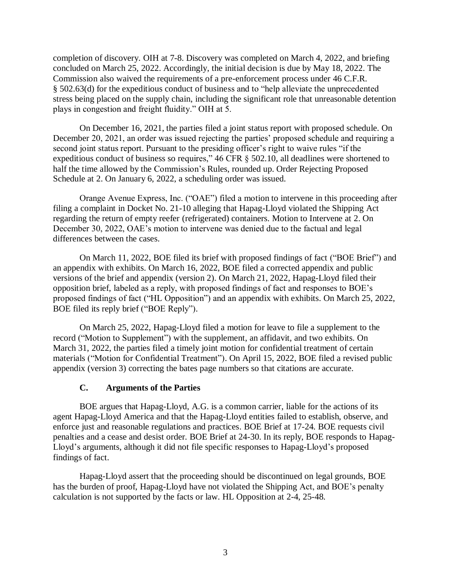completion of discovery. OIH at 7-8. Discovery was completed on March 4, 2022, and briefing concluded on March 25, 2022. Accordingly, the initial decision is due by May 18, 2022. The Commission also waived the requirements of a pre-enforcement process under 46 C.F.R. § 502.63(d) for the expeditious conduct of business and to "help alleviate the unprecedented stress being placed on the supply chain, including the significant role that unreasonable detention plays in congestion and freight fluidity." OIH at 5.

On December 16, 2021, the parties filed a joint status report with proposed schedule. On December 20, 2021, an order was issued rejecting the parties' proposed schedule and requiring a second joint status report. Pursuant to the presiding officer's right to waive rules "if the expeditious conduct of business so requires," 46 CFR § 502.10, all deadlines were shortened to half the time allowed by the Commission's Rules, rounded up. Order Rejecting Proposed Schedule at 2. On January 6, 2022, a scheduling order was issued.

Orange Avenue Express, Inc. ("OAE") filed a motion to intervene in this proceeding after filing a complaint in Docket No. 21-10 alleging that Hapag-Lloyd violated the Shipping Act regarding the return of empty reefer (refrigerated) containers. Motion to Intervene at 2. On December 30, 2022, OAE's motion to intervene was denied due to the factual and legal differences between the cases.

On March 11, 2022, BOE filed its brief with proposed findings of fact ("BOE Brief") and an appendix with exhibits. On March 16, 2022, BOE filed a corrected appendix and public versions of the brief and appendix (version 2). On March 21, 2022, Hapag-Lloyd filed their opposition brief, labeled as a reply, with proposed findings of fact and responses to BOE's proposed findings of fact ("HL Opposition") and an appendix with exhibits. On March 25, 2022, BOE filed its reply brief ("BOE Reply").

On March 25, 2022, Hapag-Lloyd filed a motion for leave to file a supplement to the record ("Motion to Supplement") with the supplement, an affidavit, and two exhibits. On March 31, 2022, the parties filed a timely joint motion for confidential treatment of certain materials ("Motion for Confidential Treatment"). On April 15, 2022, BOE filed a revised public appendix (version 3) correcting the bates page numbers so that citations are accurate.

#### **C. Arguments of the Parties**

BOE argues that Hapag-Lloyd, A.G. is a common carrier, liable for the actions of its agent Hapag-Lloyd America and that the Hapag-Lloyd entities failed to establish, observe, and enforce just and reasonable regulations and practices. BOE Brief at 17-24. BOE requests civil penalties and a cease and desist order. BOE Brief at 24-30. In its reply, BOE responds to Hapag-Lloyd's arguments, although it did not file specific responses to Hapag-Lloyd's proposed findings of fact.

Hapag-Lloyd assert that the proceeding should be discontinued on legal grounds, BOE has the burden of proof, Hapag-Lloyd have not violated the Shipping Act, and BOE's penalty calculation is not supported by the facts or law. HL Opposition at 2-4, 25-48.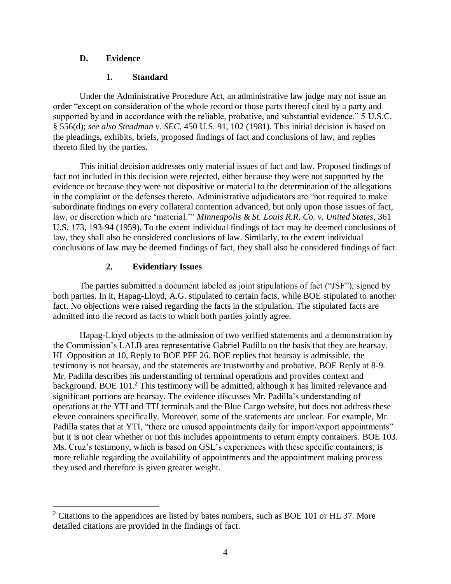### **D. Evidence**

 $\overline{a}$ 

### **1. Standard**

Under the Administrative Procedure Act, an administrative law judge may not issue an order "except on consideration of the whole record or those parts thereof cited by a party and supported by and in accordance with the reliable, probative, and substantial evidence." 5 U.S.C. § 556(d); *see also Steadman v. SEC*, 450 U.S. 91, 102 (1981). This initial decision is based on the pleadings, exhibits, briefs, proposed findings of fact and conclusions of law, and replies thereto filed by the parties.

This initial decision addresses only material issues of fact and law. Proposed findings of fact not included in this decision were rejected, either because they were not supported by the evidence or because they were not dispositive or material to the determination of the allegations in the complaint or the defenses thereto. Administrative adjudicators are "not required to make subordinate findings on every collateral contention advanced, but only upon those issues of fact, law, or discretion which are 'material.'" *Minneapolis & St. Louis R.R. Co. v. United States*, 361 U.S. 173, 193-94 (1959). To the extent individual findings of fact may be deemed conclusions of law, they shall also be considered conclusions of law. Similarly, to the extent individual conclusions of law may be deemed findings of fact, they shall also be considered findings of fact.

# **2. Evidentiary Issues**

The parties submitted a document labeled as joint stipulations of fact ("JSF"), signed by both parties. In it, Hapag-Lloyd, A.G. stipulated to certain facts, while BOE stipulated to another fact. No objections were raised regarding the facts in the stipulation. The stipulated facts are admitted into the record as facts to which both parties jointly agree.

Hapag-Lloyd objects to the admission of two verified statements and a demonstration by the Commission's LALB area representative Gabriel Padilla on the basis that they are hearsay. HL Opposition at 10, Reply to BOE PFF 26. BOE replies that hearsay is admissible, the testimony is not hearsay, and the statements are trustworthy and probative. BOE Reply at 8-9. Mr. Padilla describes his understanding of terminal operations and provides context and background. BOE 101.<sup>2</sup> This testimony will be admitted, although it has limited relevance and significant portions are hearsay. The evidence discusses Mr. Padilla's understanding of operations at the YTI and TTI terminals and the Blue Cargo website, but does not address these eleven containers specifically. Moreover, some of the statements are unclear. For example, Mr. Padilla states that at YTI, "there are unused appointments daily for import/export appointments" but it is not clear whether or not this includes appointments to return empty containers. BOE 103. Ms. Cruz's testimony, which is based on GSL's experiences with these specific containers, is more reliable regarding the availability of appointments and the appointment making process they used and therefore is given greater weight.

 $2$  Citations to the appendices are listed by bates numbers, such as BOE 101 or HL 37. More detailed citations are provided in the findings of fact.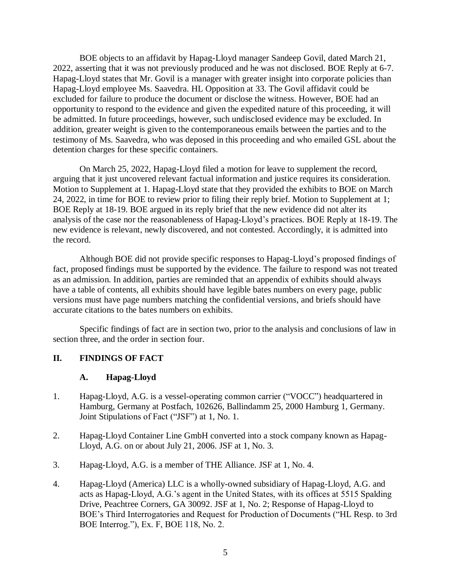BOE objects to an affidavit by Hapag-Lloyd manager Sandeep Govil, dated March 21, 2022, asserting that it was not previously produced and he was not disclosed. BOE Reply at 6-7. Hapag-Lloyd states that Mr. Govil is a manager with greater insight into corporate policies than Hapag-Lloyd employee Ms. Saavedra. HL Opposition at 33. The Govil affidavit could be excluded for failure to produce the document or disclose the witness. However, BOE had an opportunity to respond to the evidence and given the expedited nature of this proceeding, it will be admitted. In future proceedings, however, such undisclosed evidence may be excluded. In addition, greater weight is given to the contemporaneous emails between the parties and to the testimony of Ms. Saavedra, who was deposed in this proceeding and who emailed GSL about the detention charges for these specific containers.

On March 25, 2022, Hapag-Lloyd filed a motion for leave to supplement the record, arguing that it just uncovered relevant factual information and justice requires its consideration. Motion to Supplement at 1. Hapag-Lloyd state that they provided the exhibits to BOE on March 24, 2022, in time for BOE to review prior to filing their reply brief. Motion to Supplement at 1; BOE Reply at 18-19. BOE argued in its reply brief that the new evidence did not alter its analysis of the case nor the reasonableness of Hapag-Lloyd's practices. BOE Reply at 18-19. The new evidence is relevant, newly discovered, and not contested. Accordingly, it is admitted into the record.

Although BOE did not provide specific responses to Hapag-Lloyd's proposed findings of fact, proposed findings must be supported by the evidence. The failure to respond was not treated as an admission. In addition, parties are reminded that an appendix of exhibits should always have a table of contents, all exhibits should have legible bates numbers on every page, public versions must have page numbers matching the confidential versions, and briefs should have accurate citations to the bates numbers on exhibits.

Specific findings of fact are in section two, prior to the analysis and conclusions of law in section three, and the order in section four.

#### **II. FINDINGS OF FACT**

#### **A. Hapag-Lloyd**

- 1. Hapag-Lloyd, A.G. is a vessel-operating common carrier ("VOCC") headquartered in Hamburg, Germany at Postfach, 102626, Ballindamm 25, 2000 Hamburg 1, Germany. Joint Stipulations of Fact ("JSF") at 1, No. 1.
- 2. Hapag-Lloyd Container Line GmbH converted into a stock company known as Hapag-Lloyd, A.G. on or about July 21, 2006. JSF at 1, No. 3.
- 3. Hapag-Lloyd, A.G. is a member of THE Alliance. JSF at 1, No. 4.
- 4. Hapag-Lloyd (America) LLC is a wholly-owned subsidiary of Hapag-Lloyd, A.G. and acts as Hapag-Lloyd, A.G.'s agent in the United States, with its offices at 5515 Spalding Drive, Peachtree Corners, GA 30092. JSF at 1, No. 2; Response of Hapag-Lloyd to BOE's Third Interrogatories and Request for Production of Documents ("HL Resp. to 3rd BOE Interrog."), Ex. F, BOE 118, No. 2.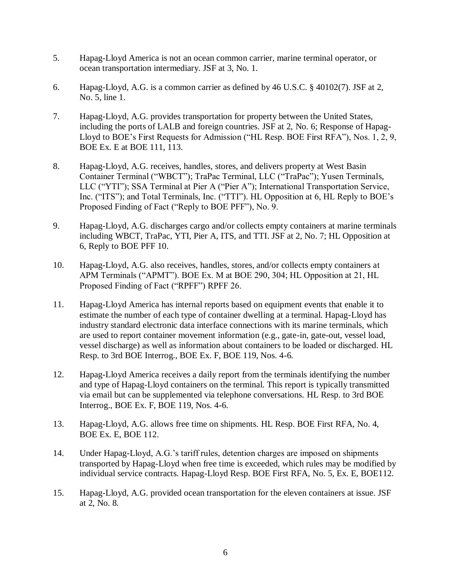- 5. Hapag-Lloyd America is not an ocean common carrier, marine terminal operator, or ocean transportation intermediary. JSF at 3, No. 1.
- 6. Hapag-Lloyd, A.G. is a common carrier as defined by 46 U.S.C. § 40102(7). JSF at 2, No. 5, line 1.
- 7. Hapag-Lloyd, A.G. provides transportation for property between the United States, including the ports of LALB and foreign countries. JSF at 2, No. 6; Response of Hapag-Lloyd to BOE's First Requests for Admission ("HL Resp. BOE First RFA"), Nos. 1, 2, 9, BOE Ex. E at BOE 111, 113.
- 8. Hapag-Lloyd, A.G. receives, handles, stores, and delivers property at West Basin Container Terminal ("WBCT"); TraPac Terminal, LLC ("TraPac"); Yusen Terminals, LLC ("YTI"); SSA Terminal at Pier A ("Pier A"); International Transportation Service, Inc. ("ITS"); and Total Terminals, Inc. ("TTI"). HL Opposition at 6, HL Reply to BOE's Proposed Finding of Fact ("Reply to BOE PFF"), No. 9.
- 9. Hapag-Lloyd, A.G. discharges cargo and/or collects empty containers at marine terminals including WBCT, TraPac, YTI, Pier A, ITS, and TTI. JSF at 2, No. 7; HL Opposition at 6, Reply to BOE PFF 10.
- 10. Hapag-Lloyd, A.G. also receives, handles, stores, and/or collects empty containers at APM Terminals ("APMT"). BOE Ex. M at BOE 290, 304; HL Opposition at 21, HL Proposed Finding of Fact ("RPFF") RPFF 26.
- 11. Hapag-Lloyd America has internal reports based on equipment events that enable it to estimate the number of each type of container dwelling at a terminal. Hapag-Lloyd has industry standard electronic data interface connections with its marine terminals, which are used to report container movement information (e.g., gate-in, gate-out, vessel load, vessel discharge) as well as information about containers to be loaded or discharged. HL Resp. to 3rd BOE Interrog., BOE Ex. F, BOE 119, Nos. 4-6.
- 12. Hapag-Lloyd America receives a daily report from the terminals identifying the number and type of Hapag-Lloyd containers on the terminal. This report is typically transmitted via email but can be supplemented via telephone conversations. HL Resp. to 3rd BOE Interrog., BOE Ex. F, BOE 119, Nos. 4-6.
- 13. Hapag-Lloyd, A.G. allows free time on shipments. HL Resp. BOE First RFA, No. 4, BOE Ex. E, BOE 112.
- 14. Under Hapag-Lloyd, A.G.'s tariff rules, detention charges are imposed on shipments transported by Hapag-Lloyd when free time is exceeded, which rules may be modified by individual service contracts. Hapag-Lloyd Resp. BOE First RFA, No. 5, Ex. E, BOE112.
- 15. Hapag-Lloyd, A.G. provided ocean transportation for the eleven containers at issue. JSF at 2, No. 8.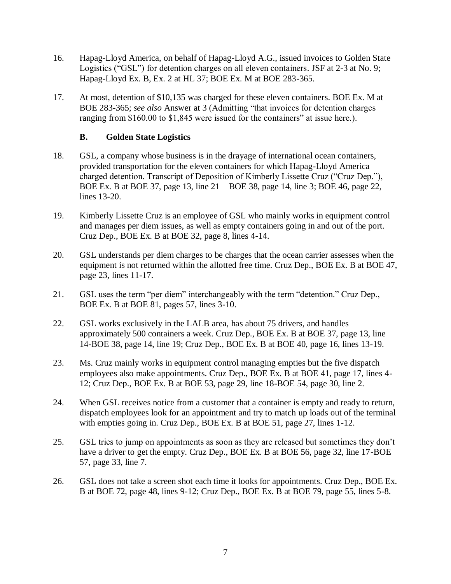- 16. Hapag-Lloyd America, on behalf of Hapag-Lloyd A.G., issued invoices to Golden State Logistics ("GSL") for detention charges on all eleven containers. JSF at 2-3 at No. 9; Hapag-Lloyd Ex. B, Ex. 2 at HL 37; BOE Ex. M at BOE 283-365.
- 17. At most, detention of \$10,135 was charged for these eleven containers. BOE Ex. M at BOE 283-365; *see also* Answer at 3 (Admitting "that invoices for detention charges ranging from \$160.00 to \$1,845 were issued for the containers" at issue here.).

### **B. Golden State Logistics**

- 18. GSL, a company whose business is in the drayage of international ocean containers, provided transportation for the eleven containers for which Hapag-Lloyd America charged detention. Transcript of Deposition of Kimberly Lissette Cruz ("Cruz Dep."), BOE Ex. B at BOE 37, page 13, line 21 – BOE 38, page 14, line 3; BOE 46, page 22, lines 13-20.
- 19. Kimberly Lissette Cruz is an employee of GSL who mainly works in equipment control and manages per diem issues, as well as empty containers going in and out of the port. Cruz Dep., BOE Ex. B at BOE 32, page 8, lines 4-14.
- 20. GSL understands per diem charges to be charges that the ocean carrier assesses when the equipment is not returned within the allotted free time. Cruz Dep., BOE Ex. B at BOE 47, page 23, lines 11-17.
- 21. GSL uses the term "per diem" interchangeably with the term "detention." Cruz Dep., BOE Ex. B at BOE 81, pages 57, lines 3-10.
- 22. GSL works exclusively in the LALB area, has about 75 drivers, and handles approximately 500 containers a week. Cruz Dep., BOE Ex. B at BOE 37, page 13, line 14-BOE 38, page 14, line 19; Cruz Dep., BOE Ex. B at BOE 40, page 16, lines 13-19.
- 23. Ms. Cruz mainly works in equipment control managing empties but the five dispatch employees also make appointments. Cruz Dep., BOE Ex. B at BOE 41, page 17, lines 4- 12; Cruz Dep., BOE Ex. B at BOE 53, page 29, line 18-BOE 54, page 30, line 2.
- 24. When GSL receives notice from a customer that a container is empty and ready to return, dispatch employees look for an appointment and try to match up loads out of the terminal with empties going in. Cruz Dep., BOE Ex. B at BOE 51, page 27, lines 1-12.
- 25. GSL tries to jump on appointments as soon as they are released but sometimes they don't have a driver to get the empty. Cruz Dep., BOE Ex. B at BOE 56, page 32, line 17-BOE 57, page 33, line 7.
- 26. GSL does not take a screen shot each time it looks for appointments. Cruz Dep., BOE Ex. B at BOE 72, page 48, lines 9-12; Cruz Dep., BOE Ex. B at BOE 79, page 55, lines 5-8.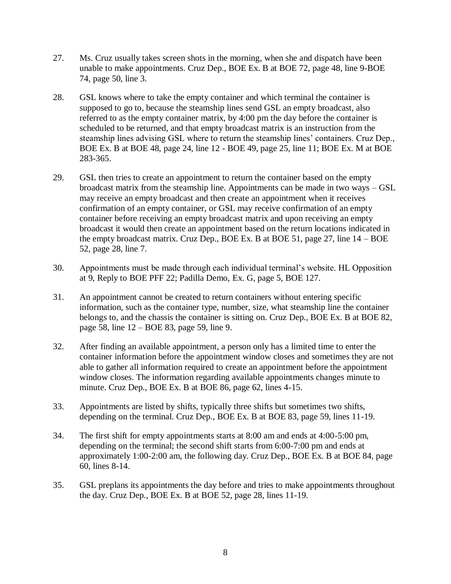- 27. Ms. Cruz usually takes screen shots in the morning, when she and dispatch have been unable to make appointments. Cruz Dep., BOE Ex. B at BOE 72, page 48, line 9-BOE 74, page 50, line 3.
- 28. GSL knows where to take the empty container and which terminal the container is supposed to go to, because the steamship lines send GSL an empty broadcast, also referred to as the empty container matrix, by 4:00 pm the day before the container is scheduled to be returned, and that empty broadcast matrix is an instruction from the steamship lines advising GSL where to return the steamship lines' containers. Cruz Dep., BOE Ex. B at BOE 48, page 24, line 12 - BOE 49, page 25, line 11; BOE Ex. M at BOE 283-365.
- 29. GSL then tries to create an appointment to return the container based on the empty broadcast matrix from the steamship line. Appointments can be made in two ways – GSL may receive an empty broadcast and then create an appointment when it receives confirmation of an empty container, or GSL may receive confirmation of an empty container before receiving an empty broadcast matrix and upon receiving an empty broadcast it would then create an appointment based on the return locations indicated in the empty broadcast matrix. Cruz Dep., BOE Ex. B at BOE 51, page 27, line 14 – BOE 52, page 28, line 7.
- 30. Appointments must be made through each individual terminal's website. HL Opposition at 9, Reply to BOE PFF 22; Padilla Demo, Ex. G, page 5, BOE 127.
- 31. An appointment cannot be created to return containers without entering specific information, such as the container type, number, size, what steamship line the container belongs to, and the chassis the container is sitting on. Cruz Dep., BOE Ex. B at BOE 82, page 58, line 12 – BOE 83, page 59, line 9.
- 32. After finding an available appointment, a person only has a limited time to enter the container information before the appointment window closes and sometimes they are not able to gather all information required to create an appointment before the appointment window closes. The information regarding available appointments changes minute to minute. Cruz Dep., BOE Ex. B at BOE 86, page 62, lines 4-15.
- 33. Appointments are listed by shifts, typically three shifts but sometimes two shifts, depending on the terminal. Cruz Dep., BOE Ex. B at BOE 83, page 59, lines 11-19.
- 34. The first shift for empty appointments starts at 8:00 am and ends at 4:00-5:00 pm, depending on the terminal; the second shift starts from 6:00-7:00 pm and ends at approximately 1:00-2:00 am, the following day. Cruz Dep., BOE Ex. B at BOE 84, page 60, lines 8-14.
- 35. GSL preplans its appointments the day before and tries to make appointments throughout the day. Cruz Dep., BOE Ex. B at BOE 52, page 28, lines 11-19.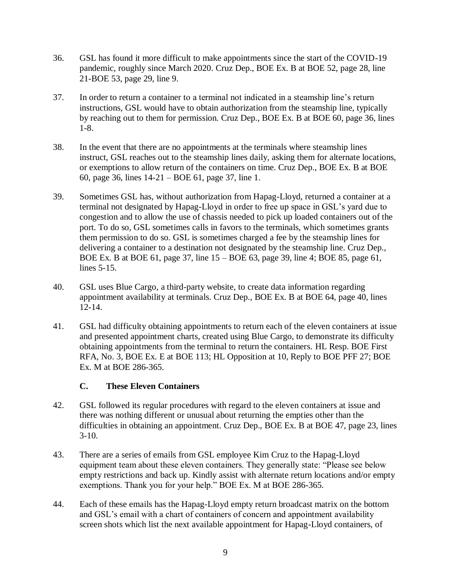- 36. GSL has found it more difficult to make appointments since the start of the COVID-19 pandemic, roughly since March 2020. Cruz Dep., BOE Ex. B at BOE 52, page 28, line 21-BOE 53, page 29, line 9.
- 37. In order to return a container to a terminal not indicated in a steamship line's return instructions, GSL would have to obtain authorization from the steamship line, typically by reaching out to them for permission. Cruz Dep., BOE Ex. B at BOE 60, page 36, lines 1-8.
- 38. In the event that there are no appointments at the terminals where steamship lines instruct, GSL reaches out to the steamship lines daily, asking them for alternate locations, or exemptions to allow return of the containers on time. Cruz Dep., BOE Ex. B at BOE 60, page 36, lines 14-21 – BOE 61, page 37, line 1.
- 39. Sometimes GSL has, without authorization from Hapag-Lloyd, returned a container at a terminal not designated by Hapag-Lloyd in order to free up space in GSL's yard due to congestion and to allow the use of chassis needed to pick up loaded containers out of the port. To do so, GSL sometimes calls in favors to the terminals, which sometimes grants them permission to do so. GSL is sometimes charged a fee by the steamship lines for delivering a container to a destination not designated by the steamship line. Cruz Dep., BOE Ex. B at BOE 61, page 37, line 15 – BOE 63, page 39, line 4; BOE 85, page 61, lines 5-15.
- 40. GSL uses Blue Cargo, a third-party website, to create data information regarding appointment availability at terminals. Cruz Dep., BOE Ex. B at BOE 64, page 40, lines 12-14.
- 41. GSL had difficulty obtaining appointments to return each of the eleven containers at issue and presented appointment charts, created using Blue Cargo, to demonstrate its difficulty obtaining appointments from the terminal to return the containers. HL Resp. BOE First RFA, No. 3, BOE Ex. E at BOE 113; HL Opposition at 10, Reply to BOE PFF 27; BOE Ex. M at BOE 286-365.

# **C. These Eleven Containers**

- 42. GSL followed its regular procedures with regard to the eleven containers at issue and there was nothing different or unusual about returning the empties other than the difficulties in obtaining an appointment. Cruz Dep., BOE Ex. B at BOE 47, page 23, lines  $3-10.$
- 43. There are a series of emails from GSL employee Kim Cruz to the Hapag-Lloyd equipment team about these eleven containers. They generally state: "Please see below empty restrictions and back up. Kindly assist with alternate return locations and/or empty exemptions. Thank you for your help." BOE Ex. M at BOE 286-365.
- 44. Each of these emails has the Hapag-Lloyd empty return broadcast matrix on the bottom and GSL's email with a chart of containers of concern and appointment availability screen shots which list the next available appointment for Hapag-Lloyd containers, of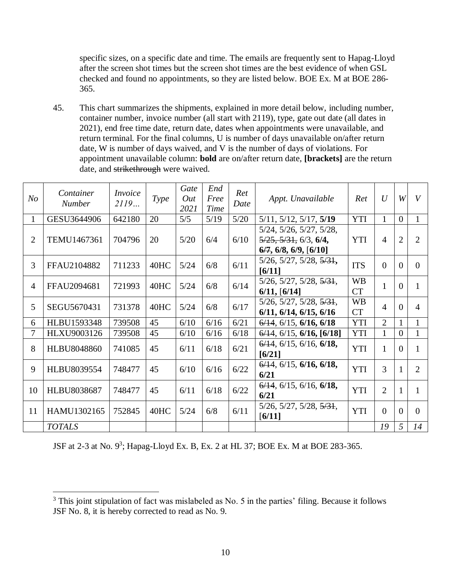specific sizes, on a specific date and time. The emails are frequently sent to Hapag-Lloyd after the screen shot times but the screen shot times are the best evidence of when GSL checked and found no appointments, so they are listed below. BOE Ex. M at BOE 286- 365.

45. This chart summarizes the shipments, explained in more detail below, including number, container number, invoice number (all start with 2119), type, gate out date (all dates in 2021), end free time date, return date, dates when appointments were unavailable, and return terminal. For the final columns, U is number of days unavailable on/after return date, W is number of days waived, and V is the number of days of violations. For appointment unavailable column: **bold** are on/after return date, **[brackets]** are the return date, and strikethrough were waived.

| N <sub>O</sub> | Container<br><b>Number</b> | Invoice<br>2119 | <i>Type</i> | Gate<br>Out<br>2021 | End<br>Free<br>Time | Ret<br>Date | Appt. Unavailable                                                                                                             | Ret                    | U              | W              | V              |
|----------------|----------------------------|-----------------|-------------|---------------------|---------------------|-------------|-------------------------------------------------------------------------------------------------------------------------------|------------------------|----------------|----------------|----------------|
| $\mathbf{1}$   | GESU3644906                | 642180          | 20          | 5/5                 | 5/19                | $5/20$      | $5/11$ , $5/12$ , $5/17$ , $5/19$                                                                                             | <b>YTI</b>             | $\mathbf{1}$   | $\Omega$       | 1              |
| $\overline{2}$ | TEMU1467361                | 704796          | 20          | 5/20                | 6/4                 | 6/10        | $5/24$ , $5/26$ , $5/27$ , $5/28$ ,<br>$\frac{5}{25}$ , $\frac{5}{31}$ , $\frac{6}{3}$ , $\frac{6}{4}$<br>6/7, 6/8, 6/9, 6/10 | <b>YTI</b>             | $\overline{4}$ | $\overline{2}$ | $\overline{2}$ |
| 3              | FFAU2104882                | 711233          | 40HC        | 5/24                | 6/8                 | 6/11        | $5/26$ , $5/27$ , $5/28$ , $5/31$ ,<br>[6/11]                                                                                 | <b>ITS</b>             | $\theta$       | $\theta$       | $\Omega$       |
| $\overline{4}$ | FFAU2094681                | 721993          | 40HC        | 5/24                | 6/8                 | 6/14        | $5/26$ , $5/27$ , $5/28$ , $5/31$ ,<br>6/11, [6/14]                                                                           | <b>WB</b><br><b>CT</b> | $\mathbf{1}$   | $\Omega$       | 1              |
| 5              | SEGU5670431                | 731378          | 40HC        | 5/24                | 6/8                 | 6/17        | $5/26$ , $5/27$ , $5/28$ , $5/31$ ,<br>6/11, 6/14, 6/15, 6/16                                                                 | <b>WB</b><br><b>CT</b> | $\overline{4}$ | $\Omega$       | $\overline{4}$ |
| 6              | HLBU1593348                | 739508          | 45          | 6/10                | 6/16                | 6/21        | $6/14$ , $6/15$ , $6/16$ , $6/18$                                                                                             | <b>YTI</b>             | $\overline{2}$ |                | $\mathbf{1}$   |
| 7              | <b>HLXU9003126</b>         | 739508          | 45          | 6/10                | 6/16                | 6/18        | $6/14$ , $6/15$ , $6/16$ , $[6/18]$                                                                                           | <b>YTI</b>             | $\mathbf{1}$   | $\Omega$       | 1              |
| 8              | <b>HLBU8048860</b>         | 741085          | 45          | 6/11                | 6/18                | 6/21        | $6/14$ , $6/15$ , $6/16$ , $6/18$ ,<br>[6/21]                                                                                 | <b>YTI</b>             | $\mathbf{1}$   | $\overline{0}$ | 1              |
| 9              | HLBU8039554                | 748477          | 45          | 6/10                | 6/16                | 6/22        | $6/14$ , $6/15$ , $6/16$ , $6/18$ ,<br>6/21                                                                                   | <b>YTI</b>             | 3              | 1              | $\overline{2}$ |
| 10             | <b>HLBU8038687</b>         | 748477          | 45          | 6/11                | 6/18                | 6/22        | $6/14$ , $6/15$ , $6/16$ , $6/18$ ,<br>6/21                                                                                   | <b>YTI</b>             | $\overline{2}$ |                | 1              |
| 11             | HAMU1302165                | 752845          | 40HC        | 5/24                | 6/8                 | 6/11        | $5/26$ , $5/27$ , $5/28$ , $5/31$ ,<br>[6/11]                                                                                 | <b>YTI</b>             | $\Omega$       | $\Omega$       | $\Omega$       |
|                | <b>TOTALS</b>              |                 |             |                     |                     |             |                                                                                                                               |                        | 19             | 5              | 14             |

JSF at 2-3 at No.  $9^3$ ; Hapag-Lloyd Ex. B, Ex. 2 at HL 37; BOE Ex. M at BOE 283-365.

 $\overline{a}$ 

 $3$  This joint stipulation of fact was mislabeled as No. 5 in the parties' filing. Because it follows JSF No. 8, it is hereby corrected to read as No. 9.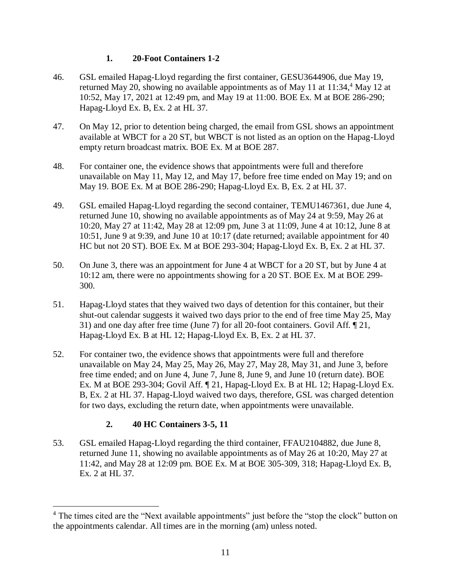# **1. 20-Foot Containers 1-2**

- 46. GSL emailed Hapag-Lloyd regarding the first container, GESU3644906, due May 19, returned May 20, showing no available appointments as of May 11 at  $11:34<sup>4</sup>$  May 12 at 10:52, May 17, 2021 at 12:49 pm, and May 19 at 11:00. BOE Ex. M at BOE 286-290; Hapag-Lloyd Ex. B, Ex. 2 at HL 37.
- 47. On May 12, prior to detention being charged, the email from GSL shows an appointment available at WBCT for a 20 ST, but WBCT is not listed as an option on the Hapag-Lloyd empty return broadcast matrix. BOE Ex. M at BOE 287.
- 48. For container one, the evidence shows that appointments were full and therefore unavailable on May 11, May 12, and May 17, before free time ended on May 19; and on May 19. BOE Ex. M at BOE 286-290; Hapag-Lloyd Ex. B, Ex. 2 at HL 37.
- 49. GSL emailed Hapag-Lloyd regarding the second container, TEMU1467361, due June 4, returned June 10, showing no available appointments as of May 24 at 9:59, May 26 at 10:20, May 27 at 11:42, May 28 at 12:09 pm, June 3 at 11:09, June 4 at 10:12, June 8 at 10:51, June 9 at 9:39, and June 10 at 10:17 (date returned; available appointment for 40 HC but not 20 ST). BOE Ex. M at BOE 293-304; Hapag-Lloyd Ex. B, Ex. 2 at HL 37.
- 50. On June 3, there was an appointment for June 4 at WBCT for a 20 ST, but by June 4 at 10:12 am, there were no appointments showing for a 20 ST. BOE Ex. M at BOE 299- 300.
- 51. Hapag-Lloyd states that they waived two days of detention for this container, but their shut-out calendar suggests it waived two days prior to the end of free time May 25, May 31) and one day after free time (June 7) for all 20-foot containers. Govil Aff. ¶ 21, Hapag-Lloyd Ex. B at HL 12; Hapag-Lloyd Ex. B, Ex. 2 at HL 37.
- 52. For container two, the evidence shows that appointments were full and therefore unavailable on May 24, May 25, May 26, May 27, May 28, May 31, and June 3, before free time ended; and on June 4, June 7, June 8, June 9, and June 10 (return date). BOE Ex. M at BOE 293-304; Govil Aff. ¶ 21, Hapag-Lloyd Ex. B at HL 12; Hapag-Lloyd Ex. B, Ex. 2 at HL 37. Hapag-Lloyd waived two days, therefore, GSL was charged detention for two days, excluding the return date, when appointments were unavailable.

# **2. 40 HC Containers 3-5, 11**

 $\overline{a}$ 

53. GSL emailed Hapag-Lloyd regarding the third container, FFAU2104882, due June 8, returned June 11, showing no available appointments as of May 26 at 10:20, May 27 at 11:42, and May 28 at 12:09 pm. BOE Ex. M at BOE 305-309, 318; Hapag-Lloyd Ex. B, Ex. 2 at HL 37.

<sup>&</sup>lt;sup>4</sup> The times cited are the "Next available appointments" just before the "stop the clock" button on the appointments calendar. All times are in the morning (am) unless noted.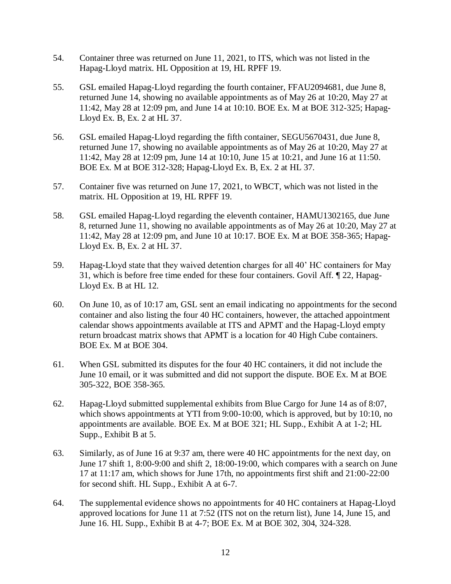- 54. Container three was returned on June 11, 2021, to ITS, which was not listed in the Hapag-Lloyd matrix. HL Opposition at 19, HL RPFF 19.
- 55. GSL emailed Hapag-Lloyd regarding the fourth container, FFAU2094681, due June 8, returned June 14, showing no available appointments as of May 26 at 10:20, May 27 at 11:42, May 28 at 12:09 pm, and June 14 at 10:10. BOE Ex. M at BOE 312-325; Hapag-Lloyd Ex. B, Ex. 2 at HL 37.
- 56. GSL emailed Hapag-Lloyd regarding the fifth container, SEGU5670431, due June 8, returned June 17, showing no available appointments as of May 26 at 10:20, May 27 at 11:42, May 28 at 12:09 pm, June 14 at 10:10, June 15 at 10:21, and June 16 at 11:50. BOE Ex. M at BOE 312-328; Hapag-Lloyd Ex. B, Ex. 2 at HL 37.
- 57. Container five was returned on June 17, 2021, to WBCT, which was not listed in the matrix. HL Opposition at 19, HL RPFF 19.
- 58. GSL emailed Hapag-Lloyd regarding the eleventh container, HAMU1302165, due June 8, returned June 11, showing no available appointments as of May 26 at 10:20, May 27 at 11:42, May 28 at 12:09 pm, and June 10 at 10:17. BOE Ex. M at BOE 358-365; Hapag-Lloyd Ex. B, Ex. 2 at HL 37.
- 59. Hapag-Lloyd state that they waived detention charges for all 40' HC containers for May 31, which is before free time ended for these four containers. Govil Aff. ¶ 22, Hapag-Lloyd Ex. B at HL 12.
- 60. On June 10, as of 10:17 am, GSL sent an email indicating no appointments for the second container and also listing the four 40 HC containers, however, the attached appointment calendar shows appointments available at ITS and APMT and the Hapag-Lloyd empty return broadcast matrix shows that APMT is a location for 40 High Cube containers. BOE Ex. M at BOE 304.
- 61. When GSL submitted its disputes for the four 40 HC containers, it did not include the June 10 email, or it was submitted and did not support the dispute. BOE Ex. M at BOE 305-322, BOE 358-365.
- 62. Hapag-Lloyd submitted supplemental exhibits from Blue Cargo for June 14 as of 8:07, which shows appointments at YTI from 9:00-10:00, which is approved, but by 10:10, no appointments are available. BOE Ex. M at BOE 321; HL Supp., Exhibit A at 1-2; HL Supp., Exhibit B at 5.
- 63. Similarly, as of June 16 at 9:37 am, there were 40 HC appointments for the next day, on June 17 shift 1, 8:00-9:00 and shift 2, 18:00-19:00, which compares with a search on June 17 at 11:17 am, which shows for June 17th, no appointments first shift and 21:00-22:00 for second shift. HL Supp., Exhibit A at 6-7.
- 64. The supplemental evidence shows no appointments for 40 HC containers at Hapag-Lloyd approved locations for June 11 at 7:52 (ITS not on the return list), June 14, June 15, and June 16. HL Supp., Exhibit B at 4-7; BOE Ex. M at BOE 302, 304, 324-328.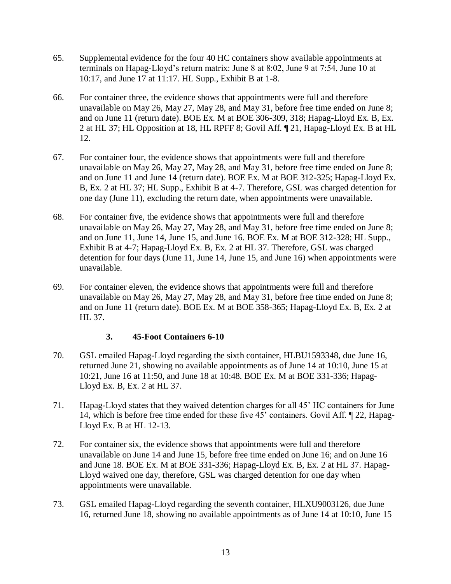- 65. Supplemental evidence for the four 40 HC containers show available appointments at terminals on Hapag-Lloyd's return matrix: June 8 at 8:02, June 9 at 7:54, June 10 at 10:17, and June 17 at 11:17. HL Supp., Exhibit B at 1-8.
- 66. For container three, the evidence shows that appointments were full and therefore unavailable on May 26, May 27, May 28, and May 31, before free time ended on June 8; and on June 11 (return date). BOE Ex. M at BOE 306-309, 318; Hapag-Lloyd Ex. B, Ex. 2 at HL 37; HL Opposition at 18, HL RPFF 8; Govil Aff. ¶ 21, Hapag-Lloyd Ex. B at HL 12.
- 67. For container four, the evidence shows that appointments were full and therefore unavailable on May 26, May 27, May 28, and May 31, before free time ended on June 8; and on June 11 and June 14 (return date). BOE Ex. M at BOE 312-325; Hapag-Lloyd Ex. B, Ex. 2 at HL 37; HL Supp., Exhibit B at 4-7. Therefore, GSL was charged detention for one day (June 11), excluding the return date, when appointments were unavailable.
- 68. For container five, the evidence shows that appointments were full and therefore unavailable on May 26, May 27, May 28, and May 31, before free time ended on June 8; and on June 11, June 14, June 15, and June 16. BOE Ex. M at BOE 312-328; HL Supp., Exhibit B at 4-7; Hapag-Lloyd Ex. B, Ex. 2 at HL 37. Therefore, GSL was charged detention for four days (June 11, June 14, June 15, and June 16) when appointments were unavailable.
- 69. For container eleven, the evidence shows that appointments were full and therefore unavailable on May 26, May 27, May 28, and May 31, before free time ended on June 8; and on June 11 (return date). BOE Ex. M at BOE 358-365; Hapag-Lloyd Ex. B, Ex. 2 at HL 37.

# **3. 45-Foot Containers 6-10**

- 70. GSL emailed Hapag-Lloyd regarding the sixth container, HLBU1593348, due June 16, returned June 21, showing no available appointments as of June 14 at 10:10, June 15 at 10:21, June 16 at 11:50, and June 18 at 10:48. BOE Ex. M at BOE 331-336; Hapag-Lloyd Ex. B, Ex. 2 at HL 37.
- 71. Hapag-Lloyd states that they waived detention charges for all 45' HC containers for June 14, which is before free time ended for these five 45' containers. Govil Aff. ¶ 22, Hapag-Lloyd Ex. B at HL 12-13.
- 72. For container six, the evidence shows that appointments were full and therefore unavailable on June 14 and June 15, before free time ended on June 16; and on June 16 and June 18. BOE Ex. M at BOE 331-336; Hapag-Lloyd Ex. B, Ex. 2 at HL 37. Hapag-Lloyd waived one day, therefore, GSL was charged detention for one day when appointments were unavailable.
- 73. GSL emailed Hapag-Lloyd regarding the seventh container, HLXU9003126, due June 16, returned June 18, showing no available appointments as of June 14 at 10:10, June 15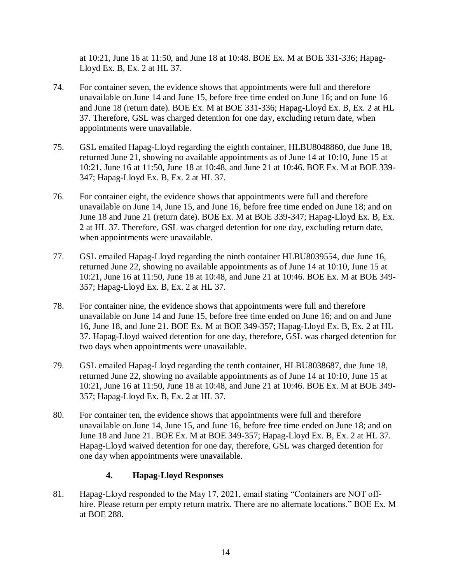at 10:21, June 16 at 11:50, and June 18 at 10:48. BOE Ex. M at BOE 331-336; Hapag-Lloyd Ex. B, Ex. 2 at HL 37.

- 74. For container seven, the evidence shows that appointments were full and therefore unavailable on June 14 and June 15, before free time ended on June 16; and on June 16 and June 18 (return date). BOE Ex. M at BOE 331-336; Hapag-Lloyd Ex. B, Ex. 2 at HL 37. Therefore, GSL was charged detention for one day, excluding return date, when appointments were unavailable.
- 75. GSL emailed Hapag-Lloyd regarding the eighth container, HLBU8048860, due June 18, returned June 21, showing no available appointments as of June 14 at 10:10, June 15 at 10:21, June 16 at 11:50, June 18 at 10:48, and June 21 at 10:46. BOE Ex. M at BOE 339- 347; Hapag-Lloyd Ex. B, Ex. 2 at HL 37.
- 76. For container eight, the evidence shows that appointments were full and therefore unavailable on June 14, June 15, and June 16, before free time ended on June 18; and on June 18 and June 21 (return date). BOE Ex. M at BOE 339-347; Hapag-Lloyd Ex. B, Ex. 2 at HL 37. Therefore, GSL was charged detention for one day, excluding return date, when appointments were unavailable.
- 77. GSL emailed Hapag-Lloyd regarding the ninth container HLBU8039554, due June 16, returned June 22, showing no available appointments as of June 14 at 10:10, June 15 at 10:21, June 16 at 11:50, June 18 at 10:48, and June 21 at 10:46. BOE Ex. M at BOE 349- 357; Hapag-Lloyd Ex. B, Ex. 2 at HL 37.
- 78. For container nine, the evidence shows that appointments were full and therefore unavailable on June 14 and June 15, before free time ended on June 16; and on and June 16, June 18, and June 21. BOE Ex. M at BOE 349-357; Hapag-Lloyd Ex. B, Ex. 2 at HL 37. Hapag-Lloyd waived detention for one day, therefore, GSL was charged detention for two days when appointments were unavailable.
- 79. GSL emailed Hapag-Lloyd regarding the tenth container, HLBU8038687, due June 18, returned June 22, showing no available appointments as of June 14 at 10:10, June 15 at 10:21, June 16 at 11:50, June 18 at 10:48, and June 21 at 10:46. BOE Ex. M at BOE 349- 357; Hapag-Lloyd Ex. B, Ex. 2 at HL 37.
- 80. For container ten, the evidence shows that appointments were full and therefore unavailable on June 14, June 15, and June 16, before free time ended on June 18; and on June 18 and June 21. BOE Ex. M at BOE 349-357; Hapag-Lloyd Ex. B, Ex. 2 at HL 37. Hapag-Lloyd waived detention for one day, therefore, GSL was charged detention for one day when appointments were unavailable.

# **4. Hapag-Lloyd Responses**

81. Hapag-Lloyd responded to the May 17, 2021, email stating "Containers are NOT offhire. Please return per empty return matrix. There are no alternate locations." BOE Ex. M at BOE 288.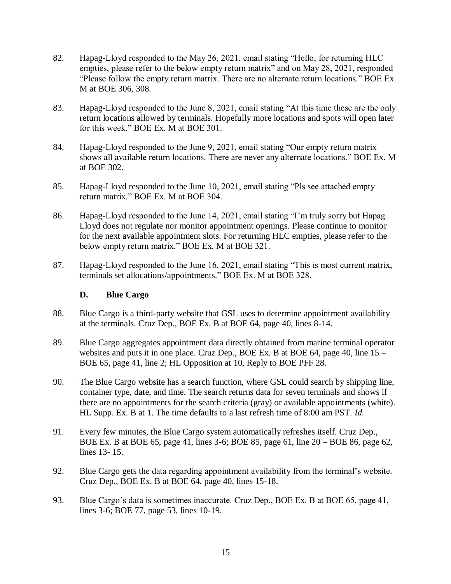- 82. Hapag-Lloyd responded to the May 26, 2021, email stating "Hello, for returning HLC empties, please refer to the below empty return matrix" and on May 28, 2021, responded "Please follow the empty return matrix. There are no alternate return locations." BOE Ex. M at BOE 306, 308.
- 83. Hapag-Lloyd responded to the June 8, 2021, email stating "At this time these are the only return locations allowed by terminals. Hopefully more locations and spots will open later for this week." BOE Ex. M at BOE 301.
- 84. Hapag-Lloyd responded to the June 9, 2021, email stating "Our empty return matrix shows all available return locations. There are never any alternate locations." BOE Ex. M at BOE 302.
- 85. Hapag-Lloyd responded to the June 10, 2021, email stating "Pls see attached empty return matrix." BOE Ex. M at BOE 304.
- 86. Hapag-Lloyd responded to the June 14, 2021, email stating "I'm truly sorry but Hapag Lloyd does not regulate nor monitor appointment openings. Please continue to monitor for the next available appointment slots. For returning HLC empties, please refer to the below empty return matrix." BOE Ex. M at BOE 321.
- 87. Hapag-Lloyd responded to the June 16, 2021, email stating "This is most current matrix, terminals set allocations/appointments." BOE Ex. M at BOE 328.

### **D. Blue Cargo**

- 88. Blue Cargo is a third-party website that GSL uses to determine appointment availability at the terminals. Cruz Dep., BOE Ex. B at BOE 64, page 40, lines 8-14.
- 89. Blue Cargo aggregates appointment data directly obtained from marine terminal operator websites and puts it in one place. Cruz Dep., BOE Ex. B at BOE 64, page 40, line 15 – BOE 65, page 41, line 2; HL Opposition at 10, Reply to BOE PFF 28.
- 90. The Blue Cargo website has a search function, where GSL could search by shipping line, container type, date, and time. The search returns data for seven terminals and shows if there are no appointments for the search criteria (gray) or available appointments (white). HL Supp. Ex. B at 1. The time defaults to a last refresh time of 8:00 am PST. *Id.*
- 91. Every few minutes, the Blue Cargo system automatically refreshes itself. Cruz Dep., BOE Ex. B at BOE 65, page 41, lines 3-6; BOE 85, page 61, line 20 – BOE 86, page 62, lines 13- 15.
- 92. Blue Cargo gets the data regarding appointment availability from the terminal's website. Cruz Dep., BOE Ex. B at BOE 64, page 40, lines 15-18.
- 93. Blue Cargo's data is sometimes inaccurate. Cruz Dep., BOE Ex. B at BOE 65, page 41, lines 3-6; BOE 77, page 53, lines 10-19.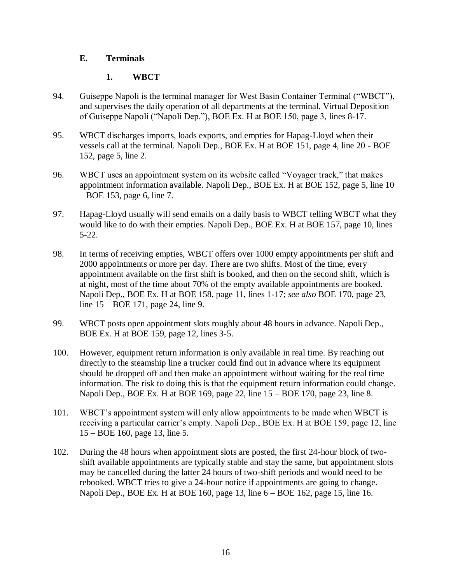# **E. Terminals**

# **1. WBCT**

- 94. Guiseppe Napoli is the terminal manager for West Basin Container Terminal ("WBCT"), and supervises the daily operation of all departments at the terminal. Virtual Deposition of Guiseppe Napoli ("Napoli Dep."), BOE Ex. H at BOE 150, page 3, lines 8-17.
- 95. WBCT discharges imports, loads exports, and empties for Hapag-Lloyd when their vessels call at the terminal. Napoli Dep., BOE Ex. H at BOE 151, page 4, line 20 - BOE 152, page 5, line 2.
- 96. WBCT uses an appointment system on its website called "Voyager track," that makes appointment information available. Napoli Dep., BOE Ex. H at BOE 152, page 5, line 10 – BOE 153, page 6, line 7.
- 97. Hapag-Lloyd usually will send emails on a daily basis to WBCT telling WBCT what they would like to do with their empties. Napoli Dep., BOE Ex. H at BOE 157, page 10, lines 5-22.
- 98. In terms of receiving empties, WBCT offers over 1000 empty appointments per shift and 2000 appointments or more per day. There are two shifts. Most of the time, every appointment available on the first shift is booked, and then on the second shift, which is at night, most of the time about 70% of the empty available appointments are booked. Napoli Dep., BOE Ex. H at BOE 158, page 11, lines 1-17; *see also* BOE 170, page 23, line 15 – BOE 171, page 24, line 9.
- 99. WBCT posts open appointment slots roughly about 48 hours in advance. Napoli Dep., BOE Ex. H at BOE 159, page 12, lines 3-5.
- 100. However, equipment return information is only available in real time. By reaching out directly to the steamship line a trucker could find out in advance where its equipment should be dropped off and then make an appointment without waiting for the real time information. The risk to doing this is that the equipment return information could change. Napoli Dep., BOE Ex. H at BOE 169, page 22, line 15 – BOE 170, page 23, line 8.
- 101. WBCT's appointment system will only allow appointments to be made when WBCT is receiving a particular carrier's empty. Napoli Dep., BOE Ex. H at BOE 159, page 12, line 15 – BOE 160, page 13, line 5.
- 102. During the 48 hours when appointment slots are posted, the first 24-hour block of twoshift available appointments are typically stable and stay the same, but appointment slots may be cancelled during the latter 24 hours of two-shift periods and would need to be rebooked. WBCT tries to give a 24-hour notice if appointments are going to change. Napoli Dep., BOE Ex. H at BOE 160, page 13, line 6 – BOE 162, page 15, line 16.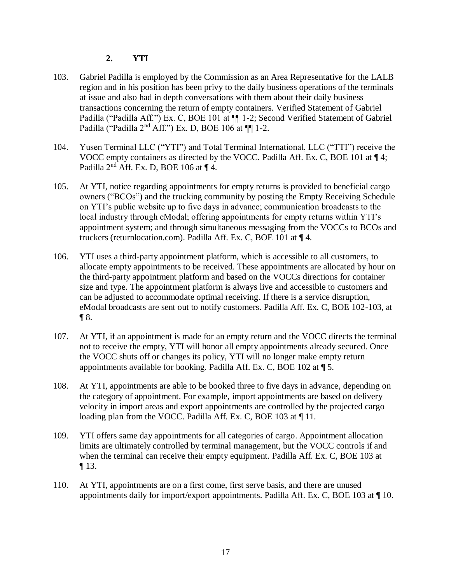# **2. YTI**

- 103. Gabriel Padilla is employed by the Commission as an Area Representative for the LALB region and in his position has been privy to the daily business operations of the terminals at issue and also had in depth conversations with them about their daily business transactions concerning the return of empty containers. Verified Statement of Gabriel Padilla ("Padilla Aff.") Ex. C, BOE 101 at  $\P$  1-2; Second Verified Statement of Gabriel Padilla ("Padilla  $2<sup>nd</sup>$  Aff.") Ex. D, BOE 106 at  $\P\P$  1-2.
- 104. Yusen Terminal LLC ("YTI") and Total Terminal International, LLC ("TTI") receive the VOCC empty containers as directed by the VOCC. Padilla Aff. Ex. C, BOE 101 at ¶ 4; Padilla 2nd Aff. Ex. D, BOE 106 at ¶ 4.
- 105. At YTI, notice regarding appointments for empty returns is provided to beneficial cargo owners ("BCOs") and the trucking community by posting the Empty Receiving Schedule on YTI's public website up to five days in advance; communication broadcasts to the local industry through eModal; offering appointments for empty returns within YTI's appointment system; and through simultaneous messaging from the VOCCs to BCOs and truckers (returnlocation.com). Padilla Aff. Ex. C, BOE 101 at ¶ 4.
- 106. YTI uses a third-party appointment platform, which is accessible to all customers, to allocate empty appointments to be received. These appointments are allocated by hour on the third-party appointment platform and based on the VOCCs directions for container size and type. The appointment platform is always live and accessible to customers and can be adjusted to accommodate optimal receiving. If there is a service disruption, eModal broadcasts are sent out to notify customers. Padilla Aff. Ex. C, BOE 102-103, at  $\P 8$ .
- 107. At YTI, if an appointment is made for an empty return and the VOCC directs the terminal not to receive the empty, YTI will honor all empty appointments already secured. Once the VOCC shuts off or changes its policy, YTI will no longer make empty return appointments available for booking. Padilla Aff. Ex. C, BOE 102 at ¶ 5.
- 108. At YTI, appointments are able to be booked three to five days in advance, depending on the category of appointment. For example, import appointments are based on delivery velocity in import areas and export appointments are controlled by the projected cargo loading plan from the VOCC. Padilla Aff. Ex. C, BOE 103 at 11.
- 109. YTI offers same day appointments for all categories of cargo. Appointment allocation limits are ultimately controlled by terminal management, but the VOCC controls if and when the terminal can receive their empty equipment. Padilla Aff. Ex. C, BOE 103 at ¶ 13.
- 110. At YTI, appointments are on a first come, first serve basis, and there are unused appointments daily for import/export appointments. Padilla Aff. Ex. C, BOE 103 at  $\P$  10.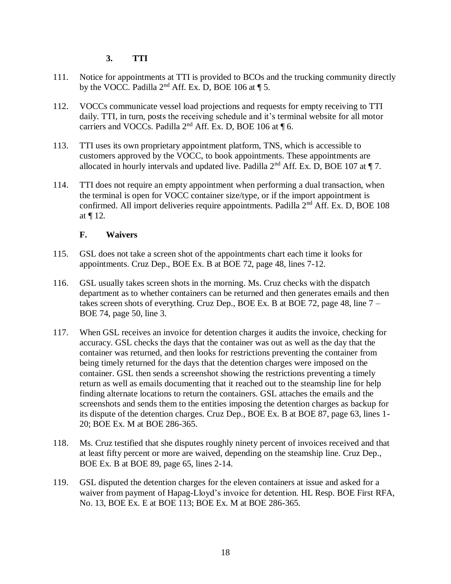# **3. TTI**

- 111. Notice for appointments at TTI is provided to BCOs and the trucking community directly by the VOCC. Padilla  $2<sup>nd</sup>$  Aff. Ex. D, BOE 106 at ¶ 5.
- 112. VOCCs communicate vessel load projections and requests for empty receiving to TTI daily. TTI, in turn, posts the receiving schedule and it's terminal website for all motor carriers and VOCCs. Padilla 2<sup>nd</sup> Aff. Ex. D, BOE 106 at ¶ 6.
- 113. TTI uses its own proprietary appointment platform, TNS, which is accessible to customers approved by the VOCC, to book appointments. These appointments are allocated in hourly intervals and updated live. Padilla  $2<sup>nd</sup>$  Aff. Ex. D, BOE 107 at  $\P$  7.
- 114. TTI does not require an empty appointment when performing a dual transaction, when the terminal is open for VOCC container size/type, or if the import appointment is confirmed. All import deliveries require appointments. Padilla  $2<sup>nd</sup>$  Aff. Ex. D, BOE 108 at ¶ 12.

### **F. Waivers**

- 115. GSL does not take a screen shot of the appointments chart each time it looks for appointments. Cruz Dep., BOE Ex. B at BOE 72, page 48, lines 7-12.
- 116. GSL usually takes screen shots in the morning. Ms. Cruz checks with the dispatch department as to whether containers can be returned and then generates emails and then takes screen shots of everything. Cruz Dep., BOE Ex. B at BOE 72, page 48, line 7 – BOE 74, page 50, line 3.
- 117. When GSL receives an invoice for detention charges it audits the invoice, checking for accuracy. GSL checks the days that the container was out as well as the day that the container was returned, and then looks for restrictions preventing the container from being timely returned for the days that the detention charges were imposed on the container. GSL then sends a screenshot showing the restrictions preventing a timely return as well as emails documenting that it reached out to the steamship line for help finding alternate locations to return the containers. GSL attaches the emails and the screenshots and sends them to the entities imposing the detention charges as backup for its dispute of the detention charges. Cruz Dep., BOE Ex. B at BOE 87, page 63, lines 1- 20; BOE Ex. M at BOE 286-365.
- 118. Ms. Cruz testified that she disputes roughly ninety percent of invoices received and that at least fifty percent or more are waived, depending on the steamship line. Cruz Dep., BOE Ex. B at BOE 89, page 65, lines 2-14.
- 119. GSL disputed the detention charges for the eleven containers at issue and asked for a waiver from payment of Hapag-Lloyd's invoice for detention. HL Resp. BOE First RFA, No. 13, BOE Ex. E at BOE 113; BOE Ex. M at BOE 286-365.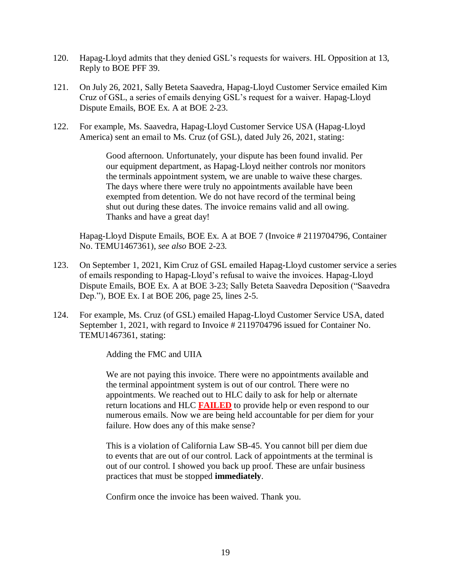- 120. Hapag-Lloyd admits that they denied GSL's requests for waivers. HL Opposition at 13, Reply to BOE PFF 39.
- 121. On July 26, 2021, Sally Beteta Saavedra, Hapag-Lloyd Customer Service emailed Kim Cruz of GSL, a series of emails denying GSL's request for a waiver. Hapag-Lloyd Dispute Emails, BOE Ex. A at BOE 2-23.
- 122. For example, Ms. Saavedra, Hapag-Lloyd Customer Service USA (Hapag-Lloyd America) sent an email to Ms. Cruz (of GSL), dated July 26, 2021, stating:

Good afternoon. Unfortunately, your dispute has been found invalid. Per our equipment department, as Hapag-Lloyd neither controls nor monitors the terminals appointment system, we are unable to waive these charges. The days where there were truly no appointments available have been exempted from detention. We do not have record of the terminal being shut out during these dates. The invoice remains valid and all owing. Thanks and have a great day!

Hapag-Lloyd Dispute Emails, BOE Ex. A at BOE 7 (Invoice # 2119704796, Container No. TEMU1467361), *see also* BOE 2-23.

- 123. On September 1, 2021, Kim Cruz of GSL emailed Hapag-Lloyd customer service a series of emails responding to Hapag-Lloyd's refusal to waive the invoices. Hapag-Lloyd Dispute Emails, BOE Ex. A at BOE 3-23; Sally Beteta Saavedra Deposition ("Saavedra Dep."), BOE Ex. I at BOE 206, page 25, lines 2-5.
- 124. For example, Ms. Cruz (of GSL) emailed Hapag-Lloyd Customer Service USA, dated September 1, 2021, with regard to Invoice # 2119704796 issued for Container No. TEMU1467361, stating:

Adding the FMC and UIIA

We are not paying this invoice. There were no appointments available and the terminal appointment system is out of our control. There were no appointments. We reached out to HLC daily to ask for help or alternate return locations and HLC **FAILED** to provide help or even respond to our numerous emails. Now we are being held accountable for per diem for your failure. How does any of this make sense?

This is a violation of California Law SB-45. You cannot bill per diem due to events that are out of our control. Lack of appointments at the terminal is out of our control. I showed you back up proof. These are unfair business practices that must be stopped **immediately**.

Confirm once the invoice has been waived. Thank you.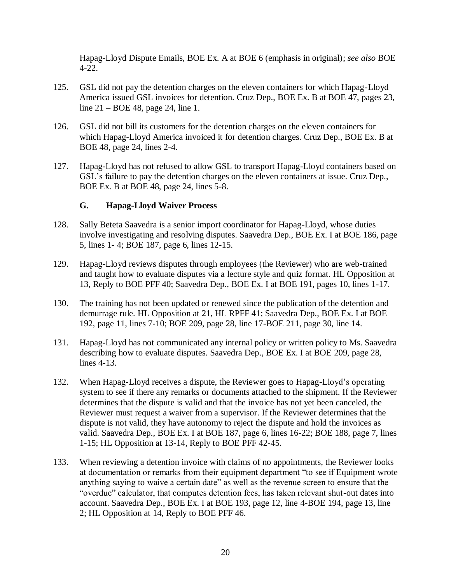Hapag-Lloyd Dispute Emails, BOE Ex. A at BOE 6 (emphasis in original); *see also* BOE 4-22.

- 125. GSL did not pay the detention charges on the eleven containers for which Hapag-Lloyd America issued GSL invoices for detention. Cruz Dep., BOE Ex. B at BOE 47, pages 23, line 21 – BOE 48, page 24, line 1.
- 126. GSL did not bill its customers for the detention charges on the eleven containers for which Hapag-Lloyd America invoiced it for detention charges. Cruz Dep., BOE Ex. B at BOE 48, page 24, lines 2-4.
- 127. Hapag-Lloyd has not refused to allow GSL to transport Hapag-Lloyd containers based on GSL's failure to pay the detention charges on the eleven containers at issue. Cruz Dep., BOE Ex. B at BOE 48, page 24, lines 5-8.

# **G. Hapag-Lloyd Waiver Process**

- 128. Sally Beteta Saavedra is a senior import coordinator for Hapag-Lloyd, whose duties involve investigating and resolving disputes. Saavedra Dep., BOE Ex. I at BOE 186, page 5, lines 1- 4; BOE 187, page 6, lines 12-15.
- 129. Hapag-Lloyd reviews disputes through employees (the Reviewer) who are web-trained and taught how to evaluate disputes via a lecture style and quiz format. HL Opposition at 13, Reply to BOE PFF 40; Saavedra Dep., BOE Ex. I at BOE 191, pages 10, lines 1-17.
- 130. The training has not been updated or renewed since the publication of the detention and demurrage rule. HL Opposition at 21, HL RPFF 41; Saavedra Dep., BOE Ex. I at BOE 192, page 11, lines 7-10; BOE 209, page 28, line 17-BOE 211, page 30, line 14.
- 131. Hapag-Lloyd has not communicated any internal policy or written policy to Ms. Saavedra describing how to evaluate disputes. Saavedra Dep., BOE Ex. I at BOE 209, page 28, lines 4-13.
- 132. When Hapag-Lloyd receives a dispute, the Reviewer goes to Hapag-Lloyd's operating system to see if there any remarks or documents attached to the shipment. If the Reviewer determines that the dispute is valid and that the invoice has not yet been canceled, the Reviewer must request a waiver from a supervisor. If the Reviewer determines that the dispute is not valid, they have autonomy to reject the dispute and hold the invoices as valid. Saavedra Dep., BOE Ex. I at BOE 187, page 6, lines 16-22; BOE 188, page 7, lines 1-15; HL Opposition at 13-14, Reply to BOE PFF 42-45.
- 133. When reviewing a detention invoice with claims of no appointments, the Reviewer looks at documentation or remarks from their equipment department "to see if Equipment wrote anything saying to waive a certain date" as well as the revenue screen to ensure that the "overdue" calculator, that computes detention fees, has taken relevant shut-out dates into account. Saavedra Dep., BOE Ex. I at BOE 193, page 12, line 4-BOE 194, page 13, line 2; HL Opposition at 14, Reply to BOE PFF 46.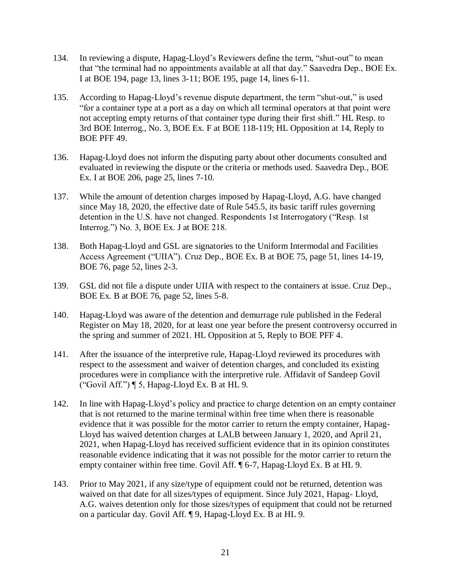- 134. In reviewing a dispute, Hapag-Lloyd's Reviewers define the term, "shut-out" to mean that "the terminal had no appointments available at all that day." Saavedra Dep., BOE Ex. I at BOE 194, page 13, lines 3-11; BOE 195, page 14, lines 6-11.
- 135. According to Hapag-Lloyd's revenue dispute department, the term "shut-out," is used "for a container type at a port as a day on which all terminal operators at that point were not accepting empty returns of that container type during their first shift." HL Resp. to 3rd BOE Interrog., No. 3, BOE Ex. F at BOE 118-119; HL Opposition at 14, Reply to BOE PFF 49.
- 136. Hapag-Lloyd does not inform the disputing party about other documents consulted and evaluated in reviewing the dispute or the criteria or methods used. Saavedra Dep., BOE Ex. I at BOE 206, page 25, lines 7-10.
- 137. While the amount of detention charges imposed by Hapag-Lloyd, A.G. have changed since May 18, 2020, the effective date of Rule 545.5, its basic tariff rules governing detention in the U.S. have not changed. Respondents 1st Interrogatory ("Resp. 1st Interrog.") No. 3, BOE Ex. J at BOE 218.
- 138. Both Hapag-Lloyd and GSL are signatories to the Uniform Intermodal and Facilities Access Agreement ("UIIA"). Cruz Dep., BOE Ex. B at BOE 75, page 51, lines 14-19, BOE 76, page 52, lines 2-3.
- 139. GSL did not file a dispute under UIIA with respect to the containers at issue. Cruz Dep., BOE Ex. B at BOE 76, page 52, lines 5-8.
- 140. Hapag-Lloyd was aware of the detention and demurrage rule published in the Federal Register on May 18, 2020, for at least one year before the present controversy occurred in the spring and summer of 2021. HL Opposition at 5, Reply to BOE PFF 4.
- 141. After the issuance of the interpretive rule, Hapag-Lloyd reviewed its procedures with respect to the assessment and waiver of detention charges, and concluded its existing procedures were in compliance with the interpretive rule. Affidavit of Sandeep Govil ("Govil Aff.") ¶ 5, Hapag-Lloyd Ex. B at HL 9.
- 142. In line with Hapag-Lloyd's policy and practice to charge detention on an empty container that is not returned to the marine terminal within free time when there is reasonable evidence that it was possible for the motor carrier to return the empty container, Hapag-Lloyd has waived detention charges at LALB between January 1, 2020, and April 21, 2021, when Hapag-Lloyd has received sufficient evidence that in its opinion constitutes reasonable evidence indicating that it was not possible for the motor carrier to return the empty container within free time. Govil Aff. ¶ 6-7, Hapag-Lloyd Ex. B at HL 9.
- 143. Prior to May 2021, if any size/type of equipment could not be returned, detention was waived on that date for all sizes/types of equipment. Since July 2021, Hapag- Lloyd, A.G. waives detention only for those sizes/types of equipment that could not be returned on a particular day. Govil Aff. ¶ 9, Hapag-Lloyd Ex. B at HL 9.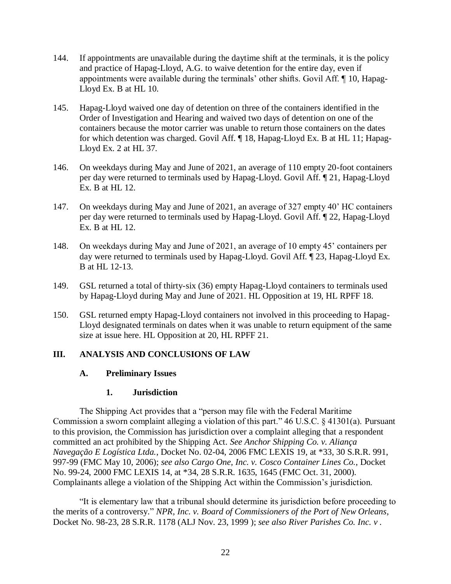- 144. If appointments are unavailable during the daytime shift at the terminals, it is the policy and practice of Hapag-Lloyd, A.G. to waive detention for the entire day, even if appointments were available during the terminals' other shifts. Govil Aff. ¶ 10, Hapag-Lloyd Ex. B at HL 10.
- 145. Hapag-Lloyd waived one day of detention on three of the containers identified in the Order of Investigation and Hearing and waived two days of detention on one of the containers because the motor carrier was unable to return those containers on the dates for which detention was charged. Govil Aff. ¶ 18, Hapag-Lloyd Ex. B at HL 11; Hapag-Lloyd Ex. 2 at HL 37.
- 146. On weekdays during May and June of 2021, an average of 110 empty 20-foot containers per day were returned to terminals used by Hapag-Lloyd. Govil Aff. ¶ 21, Hapag-Lloyd Ex. B at HL 12.
- 147. On weekdays during May and June of 2021, an average of 327 empty 40' HC containers per day were returned to terminals used by Hapag-Lloyd. Govil Aff. ¶ 22, Hapag-Lloyd Ex. B at HL 12.
- 148. On weekdays during May and June of 2021, an average of 10 empty 45' containers per day were returned to terminals used by Hapag-Lloyd. Govil Aff. ¶ 23, Hapag-Lloyd Ex. B at HL 12-13.
- 149. GSL returned a total of thirty-six (36) empty Hapag-Lloyd containers to terminals used by Hapag-Lloyd during May and June of 2021. HL Opposition at 19, HL RPFF 18.
- 150. GSL returned empty Hapag-Lloyd containers not involved in this proceeding to Hapag-Lloyd designated terminals on dates when it was unable to return equipment of the same size at issue here. HL Opposition at 20, HL RPFF 21.

#### **III. ANALYSIS AND CONCLUSIONS OF LAW**

#### **A. Preliminary Issues**

#### **1. Jurisdiction**

The Shipping Act provides that a "person may file with the Federal Maritime Commission a sworn complaint alleging a violation of this part." 46 U.S.C. § 41301(a). Pursuant to this provision, the Commission has jurisdiction over a complaint alleging that a respondent committed an act prohibited by the Shipping Act. *See Anchor Shipping Co. v. Aliança Navegação E Logística Ltda.*, Docket No. 02-04, 2006 FMC LEXIS 19, at \*33, 30 S.R.R. 991, 997-99 (FMC May 10, 2006); *see also Cargo One, Inc. v. Cosco Container Lines Co.*, Docket No. 99-24, 2000 FMC LEXIS 14, at \*34, 28 S.R.R. 1635, 1645 (FMC Oct. 31, 2000). Complainants allege a violation of the Shipping Act within the Commission's jurisdiction.

"It is elementary law that a tribunal should determine its jurisdiction before proceeding to the merits of a controversy." *NPR, Inc. v. Board of Commissioners of the Port of New Orleans*, Docket No. 98-23, 28 S.R.R. 1178 (ALJ Nov. 23, 1999 ); *see also River Parishes Co. Inc. v .*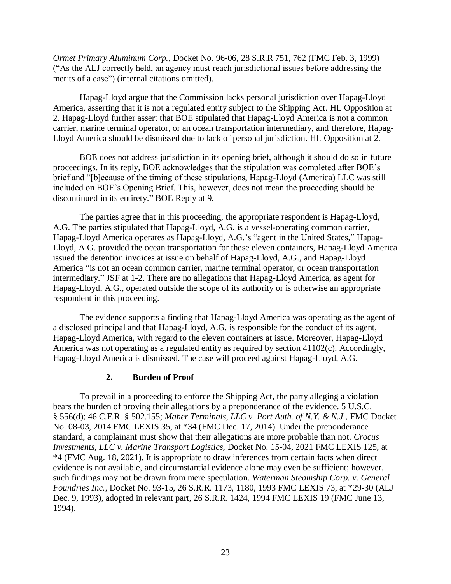*Ormet Primary Aluminum Corp.*, Docket No. 96-06, 28 S.R.R 751, 762 (FMC Feb. 3, 1999) ("As the ALJ correctly held, an agency must reach jurisdictional issues before addressing the merits of a case") (internal citations omitted).

Hapag-Lloyd argue that the Commission lacks personal jurisdiction over Hapag-Lloyd America, asserting that it is not a regulated entity subject to the Shipping Act. HL Opposition at 2. Hapag-Lloyd further assert that BOE stipulated that Hapag-Lloyd America is not a common carrier, marine terminal operator, or an ocean transportation intermediary, and therefore, Hapag-Lloyd America should be dismissed due to lack of personal jurisdiction. HL Opposition at 2.

BOE does not address jurisdiction in its opening brief, although it should do so in future proceedings. In its reply, BOE acknowledges that the stipulation was completed after BOE's brief and "[b]ecause of the timing of these stipulations, Hapag-Lloyd (America) LLC was still included on BOE's Opening Brief. This, however, does not mean the proceeding should be discontinued in its entirety." BOE Reply at 9.

The parties agree that in this proceeding, the appropriate respondent is Hapag-Lloyd, A.G. The parties stipulated that Hapag-Lloyd, A.G. is a vessel-operating common carrier, Hapag-Lloyd America operates as Hapag-Lloyd, A.G.'s "agent in the United States," Hapag-Lloyd, A.G. provided the ocean transportation for these eleven containers, Hapag-Lloyd America issued the detention invoices at issue on behalf of Hapag-Lloyd, A.G., and Hapag-Lloyd America "is not an ocean common carrier, marine terminal operator, or ocean transportation intermediary." JSF at 1-2. There are no allegations that Hapag-Lloyd America, as agent for Hapag-Lloyd, A.G., operated outside the scope of its authority or is otherwise an appropriate respondent in this proceeding.

The evidence supports a finding that Hapag-Lloyd America was operating as the agent of a disclosed principal and that Hapag-Lloyd, A.G. is responsible for the conduct of its agent, Hapag-Lloyd America, with regard to the eleven containers at issue. Moreover, Hapag-Lloyd America was not operating as a regulated entity as required by section 41102(c). Accordingly, Hapag-Lloyd America is dismissed. The case will proceed against Hapag-Lloyd, A.G.

#### **2. Burden of Proof**

To prevail in a proceeding to enforce the Shipping Act, the party alleging a violation bears the burden of proving their allegations by a preponderance of the evidence. 5 U.S.C. § 556(d); 46 C.F.R. § 502.155; *Maher Terminals, LLC v. Port Auth. of N.Y. & N.J.*, FMC Docket No. 08-03, 2014 FMC LEXIS 35, at \*34 (FMC Dec. 17, 2014). Under the preponderance standard, a complainant must show that their allegations are more probable than not. *Crocus Investments, LLC v. Marine Transport Logistics,* Docket No. 15-04, 2021 FMC LEXIS 125, at \*4 (FMC Aug. 18, 2021). It is appropriate to draw inferences from certain facts when direct evidence is not available, and circumstantial evidence alone may even be sufficient; however, such findings may not be drawn from mere speculation. *Waterman Steamship Corp. v. General Foundries Inc.*, Docket No. 93-15, 26 S.R.R. 1173, 1180, 1993 FMC LEXIS 73, at \*29-30 (ALJ Dec. 9, 1993), adopted in relevant part, 26 S.R.R. 1424, 1994 FMC LEXIS 19 (FMC June 13, 1994).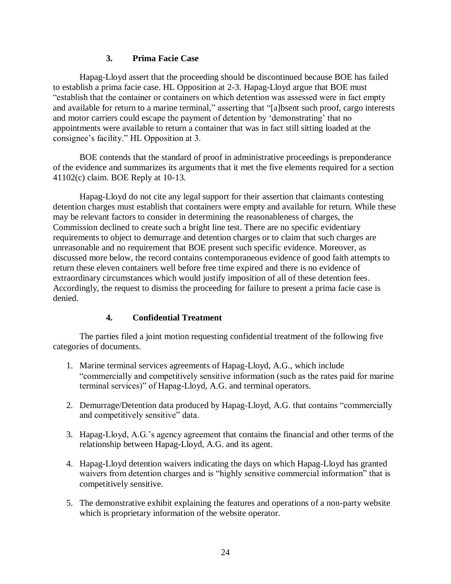### **3. Prima Facie Case**

Hapag-Lloyd assert that the proceeding should be discontinued because BOE has failed to establish a prima facie case. HL Opposition at 2-3. Hapag-Lloyd argue that BOE must "establish that the container or containers on which detention was assessed were in fact empty and available for return to a marine terminal," asserting that "[a]bsent such proof, cargo interests and motor carriers could escape the payment of detention by 'demonstrating' that no appointments were available to return a container that was in fact still sitting loaded at the consignee's facility." HL Opposition at 3.

BOE contends that the standard of proof in administrative proceedings is preponderance of the evidence and summarizes its arguments that it met the five elements required for a section 41102(c) claim. BOE Reply at 10-13.

Hapag-Lloyd do not cite any legal support for their assertion that claimants contesting detention charges must establish that containers were empty and available for return. While these may be relevant factors to consider in determining the reasonableness of charges, the Commission declined to create such a bright line test. There are no specific evidentiary requirements to object to demurrage and detention charges or to claim that such charges are unreasonable and no requirement that BOE present such specific evidence. Moreover, as discussed more below, the record contains contemporaneous evidence of good faith attempts to return these eleven containers well before free time expired and there is no evidence of extraordinary circumstances which would justify imposition of all of these detention fees. Accordingly, the request to dismiss the proceeding for failure to present a prima facie case is denied.

# **4. Confidential Treatment**

The parties filed a joint motion requesting confidential treatment of the following five categories of documents.

- 1. Marine terminal services agreements of Hapag-Lloyd, A.G., which include "commercially and competitively sensitive information (such as the rates paid for marine terminal services)" of Hapag-Lloyd, A.G. and terminal operators.
- 2. Demurrage/Detention data produced by Hapag-Lloyd, A.G. that contains "commercially and competitively sensitive" data.
- 3. Hapag-Lloyd, A.G.'s agency agreement that contains the financial and other terms of the relationship between Hapag-Lloyd, A.G. and its agent.
- 4. Hapag-Lloyd detention waivers indicating the days on which Hapag-Lloyd has granted waivers from detention charges and is "highly sensitive commercial information" that is competitively sensitive.
- 5. The demonstrative exhibit explaining the features and operations of a non-party website which is proprietary information of the website operator.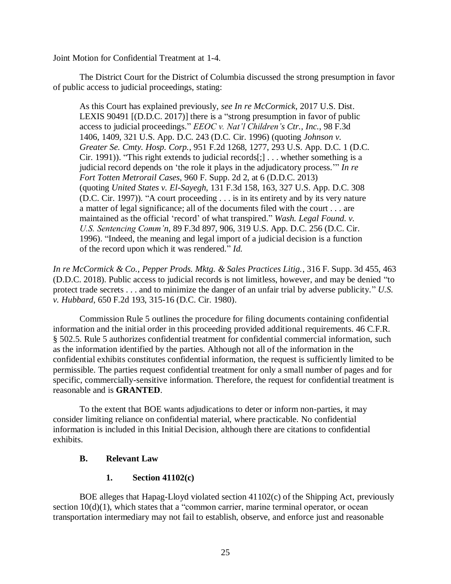Joint Motion for Confidential Treatment at 1-4.

The District Court for the District of Columbia discussed the strong presumption in favor of public access to judicial proceedings, stating:

As this Court has explained previously, *see In re McCormick*, 2017 U.S. Dist. LEXIS 90491 [(D.D.C. 2017)] there is a "strong presumption in favor of public access to judicial proceedings." *EEOC v. Nat'l Children's Ctr., Inc.*, 98 F.3d 1406, 1409, 321 U.S. App. D.C. 243 (D.C. Cir. 1996) (quoting *Johnson v. Greater Se. Cmty. Hosp. Corp.*, 951 F.2d 1268, 1277, 293 U.S. App. D.C. 1 (D.C. Cir. 1991)). "This right extends to judicial records[;] . . . whether something is a judicial record depends on 'the role it plays in the adjudicatory process.'" *In re Fort Totten Metrorail Cases*, 960 F. Supp. 2d 2, at 6 (D.D.C. 2013) (quoting *United States v. El-Sayegh*, 131 F.3d 158, 163, 327 U.S. App. D.C. 308 (D.C. Cir. 1997)). "A court proceeding . . . is in its entirety and by its very nature a matter of legal significance; all of the documents filed with the court . . . are maintained as the official 'record' of what transpired." *Wash. Legal Found. v. U.S. Sentencing Comm'n*, 89 F.3d 897, 906, 319 U.S. App. D.C. 256 (D.C. Cir. 1996). "Indeed, the meaning and legal import of a judicial decision is a function of the record upon which it was rendered." *Id.*

*In re McCormick & Co., Pepper Prods. Mktg. & Sales Practices Litig.*, 316 F. Supp. 3d 455, 463 (D.D.C. 2018). Public access to judicial records is not limitless, however, and may be denied "to protect trade secrets . . . and to minimize the danger of an unfair trial by adverse publicity." *U.S. v. Hubbard*, 650 F.2d 193, 315-16 (D.C. Cir. 1980).

Commission Rule 5 outlines the procedure for filing documents containing confidential information and the initial order in this proceeding provided additional requirements. 46 C.F.R. § 502.5. Rule 5 authorizes confidential treatment for confidential commercial information, such as the information identified by the parties. Although not all of the information in the confidential exhibits constitutes confidential information, the request is sufficiently limited to be permissible. The parties request confidential treatment for only a small number of pages and for specific, commercially-sensitive information. Therefore, the request for confidential treatment is reasonable and is **GRANTED**.

To the extent that BOE wants adjudications to deter or inform non-parties, it may consider limiting reliance on confidential material, where practicable. No confidential information is included in this Initial Decision, although there are citations to confidential exhibits.

#### **B. Relevant Law**

# **1. Section 41102(c)**

BOE alleges that Hapag-Lloyd violated section 41102(c) of the Shipping Act, previously section  $10(d)(1)$ , which states that a "common carrier, marine terminal operator, or ocean transportation intermediary may not fail to establish, observe, and enforce just and reasonable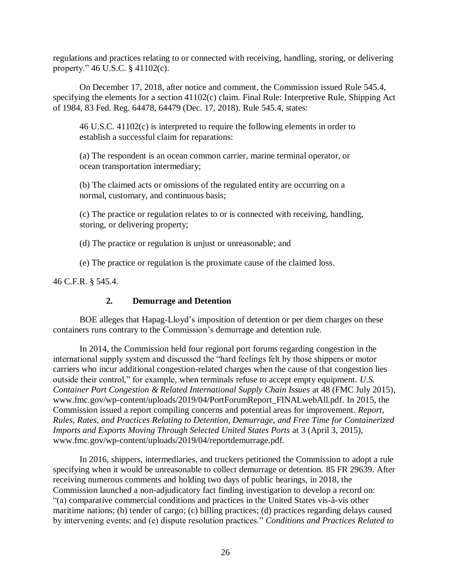regulations and practices relating to or connected with receiving, handling, storing, or delivering property." 46 U.S.C. § 41102(c).

On December 17, 2018, after notice and comment, the Commission issued Rule 545.4, specifying the elements for a section 41102(c) claim. Final Rule: Interpretive Rule, Shipping Act of 1984, 83 Fed. Reg. 64478, 64479 (Dec. 17, 2018). Rule 545.4, states:

46 U.S.C. 41102(c) is interpreted to require the following elements in order to establish a successful claim for reparations:

(a) The respondent is an ocean common carrier, marine terminal operator, or ocean transportation intermediary;

(b) The claimed acts or omissions of the regulated entity are occurring on a normal, customary, and continuous basis;

(c) The practice or regulation relates to or is connected with receiving, handling, storing, or delivering property;

(d) The practice or regulation is unjust or unreasonable; and

(e) The practice or regulation is the proximate cause of the claimed loss.

46 C.F.R. § 545.4.

# **2. Demurrage and Detention**

BOE alleges that Hapag-Lloyd's imposition of detention or per diem charges on these containers runs contrary to the Commission's demurrage and detention rule.

In 2014, the Commission held four regional port forums regarding congestion in the international supply system and discussed the "hard feelings felt by those shippers or motor carriers who incur additional congestion-related charges when the cause of that congestion lies outside their control," for example, when terminals refuse to accept empty equipment. *U.S. Container Port Congestion & Related International Supply Chain Issues* at 48 (FMC July 2015), www.fmc.gov/wp-content/uploads/2019/04/PortForumReport\_FINALwebAll.pdf. In 2015, the Commission issued a report compiling concerns and potential areas for improvement. *Report, Rules, Rates, and Practices Relating to Detention, Demurrage, and Free Time for Containerized Imports and Exports Moving Through Selected United States Ports* at 3 (April 3, 2015), www.fmc.gov/wp-content/uploads/2019/04/reportdemurrage.pdf.

In 2016, shippers, intermediaries, and truckers petitioned the Commission to adopt a rule specifying when it would be unreasonable to collect demurrage or detention. 85 FR 29639. After receiving numerous comments and holding two days of public hearings, in 2018, the Commission launched a non-adjudicatory fact finding investigation to develop a record on: "(a) comparative commercial conditions and practices in the United States vis-à-vis other maritime nations; (b) tender of cargo; (c) billing practices; (d) practices regarding delays caused by intervening events; and (e) dispute resolution practices." *Conditions and Practices Related to*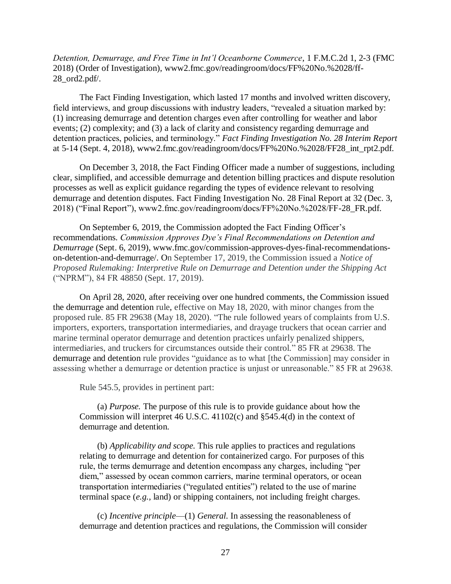*Detention, Demurrage, and Free Time in Int'l Oceanborne Commerce*, 1 F.M.C.2d 1, 2-3 (FMC 2018) (Order of Investigation), www2.fmc.gov/readingroom/docs/FF%20No.%2028/ff-28\_ord2.pdf/.

The Fact Finding Investigation, which lasted 17 months and involved written discovery, field interviews, and group discussions with industry leaders, "revealed a situation marked by: (1) increasing demurrage and detention charges even after controlling for weather and labor events; (2) complexity; and (3) a lack of clarity and consistency regarding demurrage and detention practices, policies, and terminology." *Fact Finding Investigation No. 28 Interim Report* at 5-14 (Sept. 4, 2018), www2.fmc.gov/readingroom/docs/FF%20No.%2028/FF28\_int\_rpt2.pdf.

On December 3, 2018, the Fact Finding Officer made a number of suggestions, including clear, simplified, and accessible demurrage and detention billing practices and dispute resolution processes as well as explicit guidance regarding the types of evidence relevant to resolving demurrage and detention disputes. Fact Finding Investigation No. 28 Final Report at 32 (Dec. 3, 2018) ("Final Report"), www2.fmc.gov/readingroom/docs/FF%20No.%2028/FF-28\_FR.pdf.

On September 6, 2019, the Commission adopted the Fact Finding Officer's recommendations. *Commission Approves Dye's Final Recommendations on Detention and Demurrage* (Sept. 6, 2019), www.fmc.gov/commission-approves-dyes-final-recommendationson-detention-and-demurrage/. On September 17, 2019, the Commission issued a *Notice of Proposed Rulemaking: Interpretive Rule on Demurrage and Detention under the Shipping Act* ("NPRM"), 84 FR 48850 (Sept. 17, 2019).

On April 28, 2020, after receiving over one hundred comments, the Commission issued the demurrage and detention rule, effective on May 18, 2020, with minor changes from the proposed rule. 85 FR 29638 (May 18, 2020). "The rule followed years of complaints from U.S. importers, exporters, transportation intermediaries, and drayage truckers that ocean carrier and marine terminal operator demurrage and detention practices unfairly penalized shippers, intermediaries, and truckers for circumstances outside their control." 85 FR at 29638. The demurrage and detention rule provides "guidance as to what [the Commission] may consider in assessing whether a demurrage or detention practice is unjust or unreasonable." 85 FR at 29638.

Rule 545.5, provides in pertinent part:

(a) *Purpose.* The purpose of this rule is to provide guidance about how the Commission will interpret 46 U.S.C. 41102(c) and §545.4(d) in the context of demurrage and detention.

(b) *Applicability and scope.* This rule applies to practices and regulations relating to demurrage and detention for containerized cargo. For purposes of this rule, the terms demurrage and detention encompass any charges, including "per diem," assessed by ocean common carriers, marine terminal operators, or ocean transportation intermediaries ("regulated entities") related to the use of marine terminal space (*e.g.,* land) or shipping containers, not including freight charges.

(c) *Incentive principle*—(1) *General.* In assessing the reasonableness of demurrage and detention practices and regulations, the Commission will consider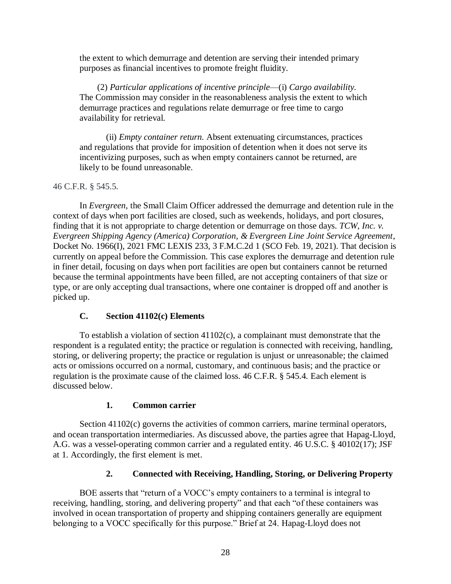the extent to which demurrage and detention are serving their intended primary purposes as financial incentives to promote freight fluidity.

(2) *Particular applications of incentive principle*—(i) *Cargo availability.* The Commission may consider in the reasonableness analysis the extent to which demurrage practices and regulations relate demurrage or free time to cargo availability for retrieval.

(ii) *Empty container return.* Absent extenuating circumstances, practices and regulations that provide for imposition of detention when it does not serve its incentivizing purposes, such as when empty containers cannot be returned, are likely to be found unreasonable.

46 C.F.R. § 545.5.

In *Evergreen*, the Small Claim Officer addressed the demurrage and detention rule in the context of days when port facilities are closed, such as weekends, holidays, and port closures, finding that it is not appropriate to charge detention or demurrage on those days. *TCW, Inc. v. Evergreen Shipping Agency (America) Corporation, & Evergreen Line Joint Service Agreement*, Docket No. 1966(I), 2021 FMC LEXIS 233, 3 F.M.C.2d 1 (SCO Feb. 19, 2021). That decision is currently on appeal before the Commission. This case explores the demurrage and detention rule in finer detail, focusing on days when port facilities are open but containers cannot be returned because the terminal appointments have been filled, are not accepting containers of that size or type, or are only accepting dual transactions, where one container is dropped off and another is picked up.

# **C. Section 41102(c) Elements**

To establish a violation of section  $41102(c)$ , a complainant must demonstrate that the respondent is a regulated entity; the practice or regulation is connected with receiving, handling, storing, or delivering property; the practice or regulation is unjust or unreasonable; the claimed acts or omissions occurred on a normal, customary, and continuous basis; and the practice or regulation is the proximate cause of the claimed loss. 46 C.F.R. § 545.4. Each element is discussed below.

# **1. Common carrier**

Section 41102(c) governs the activities of common carriers, marine terminal operators, and ocean transportation intermediaries. As discussed above, the parties agree that Hapag-Lloyd, A.G. was a vessel-operating common carrier and a regulated entity. 46 U.S.C. § 40102(17); JSF at 1. Accordingly, the first element is met.

# **2. Connected with Receiving, Handling, Storing, or Delivering Property**

BOE asserts that "return of a VOCC's empty containers to a terminal is integral to receiving, handling, storing, and delivering property" and that each "of these containers was involved in ocean transportation of property and shipping containers generally are equipment belonging to a VOCC specifically for this purpose." Brief at 24. Hapag-Lloyd does not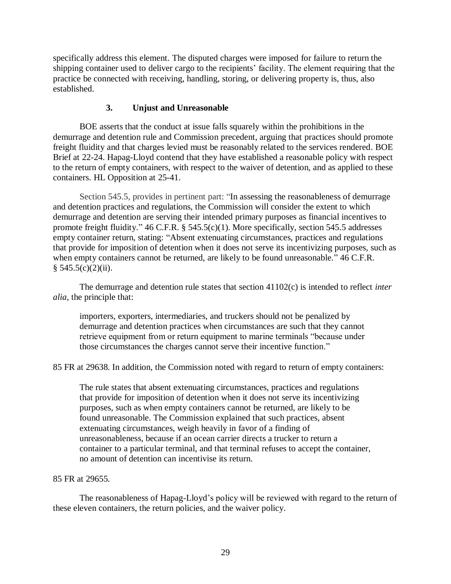specifically address this element. The disputed charges were imposed for failure to return the shipping container used to deliver cargo to the recipients' facility. The element requiring that the practice be connected with receiving, handling, storing, or delivering property is, thus, also established.

# **3. Unjust and Unreasonable**

BOE asserts that the conduct at issue falls squarely within the prohibitions in the demurrage and detention rule and Commission precedent, arguing that practices should promote freight fluidity and that charges levied must be reasonably related to the services rendered. BOE Brief at 22-24. Hapag-Lloyd contend that they have established a reasonable policy with respect to the return of empty containers, with respect to the waiver of detention, and as applied to these containers. HL Opposition at 25-41.

Section 545.5, provides in pertinent part: "In assessing the reasonableness of demurrage and detention practices and regulations, the Commission will consider the extent to which demurrage and detention are serving their intended primary purposes as financial incentives to promote freight fluidity." 46 C.F.R. § 545.5(c)(1). More specifically, section 545.5 addresses empty container return, stating: "Absent extenuating circumstances, practices and regulations that provide for imposition of detention when it does not serve its incentivizing purposes, such as when empty containers cannot be returned, are likely to be found unreasonable." 46 C.F.R.  $§ 545.5(c)(2)(ii).$ 

The demurrage and detention rule states that section 41102(c) is intended to reflect *inter alia*, the principle that:

importers, exporters, intermediaries, and truckers should not be penalized by demurrage and detention practices when circumstances are such that they cannot retrieve equipment from or return equipment to marine terminals "because under those circumstances the charges cannot serve their incentive function."

85 FR at 29638. In addition, the Commission noted with regard to return of empty containers:

The rule states that absent extenuating circumstances, practices and regulations that provide for imposition of detention when it does not serve its incentivizing purposes, such as when empty containers cannot be returned, are likely to be found unreasonable. The Commission explained that such practices, absent extenuating circumstances, weigh heavily in favor of a finding of unreasonableness, because if an ocean carrier directs a trucker to return a container to a particular terminal, and that terminal refuses to accept the container, no amount of detention can incentivise its return.

#### 85 FR at 29655.

The reasonableness of Hapag-Lloyd's policy will be reviewed with regard to the return of these eleven containers, the return policies, and the waiver policy.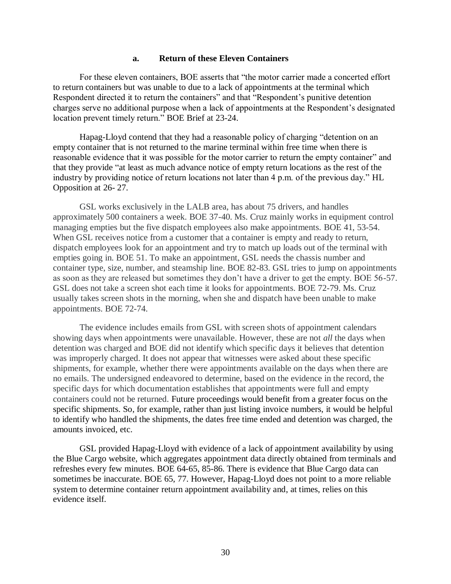#### **a. Return of these Eleven Containers**

For these eleven containers, BOE asserts that "the motor carrier made a concerted effort to return containers but was unable to due to a lack of appointments at the terminal which Respondent directed it to return the containers" and that "Respondent's punitive detention charges serve no additional purpose when a lack of appointments at the Respondent's designated location prevent timely return." BOE Brief at 23-24.

Hapag-Lloyd contend that they had a reasonable policy of charging "detention on an empty container that is not returned to the marine terminal within free time when there is reasonable evidence that it was possible for the motor carrier to return the empty container" and that they provide "at least as much advance notice of empty return locations as the rest of the industry by providing notice of return locations not later than 4 p.m. of the previous day." HL Opposition at 26- 27.

GSL works exclusively in the LALB area, has about 75 drivers, and handles approximately 500 containers a week. BOE 37-40. Ms. Cruz mainly works in equipment control managing empties but the five dispatch employees also make appointments. BOE 41, 53-54. When GSL receives notice from a customer that a container is empty and ready to return, dispatch employees look for an appointment and try to match up loads out of the terminal with empties going in. BOE 51. To make an appointment, GSL needs the chassis number and container type, size, number, and steamship line. BOE 82-83. GSL tries to jump on appointments as soon as they are released but sometimes they don't have a driver to get the empty. BOE 56-57. GSL does not take a screen shot each time it looks for appointments. BOE 72-79. Ms. Cruz usually takes screen shots in the morning, when she and dispatch have been unable to make appointments. BOE 72-74.

The evidence includes emails from GSL with screen shots of appointment calendars showing days when appointments were unavailable. However, these are not *all* the days when detention was charged and BOE did not identify which specific days it believes that detention was improperly charged. It does not appear that witnesses were asked about these specific shipments, for example, whether there were appointments available on the days when there are no emails. The undersigned endeavored to determine, based on the evidence in the record, the specific days for which documentation establishes that appointments were full and empty containers could not be returned. Future proceedings would benefit from a greater focus on the specific shipments. So, for example, rather than just listing invoice numbers, it would be helpful to identify who handled the shipments, the dates free time ended and detention was charged, the amounts invoiced, etc.

GSL provided Hapag-Lloyd with evidence of a lack of appointment availability by using the Blue Cargo website, which aggregates appointment data directly obtained from terminals and refreshes every few minutes. BOE 64-65, 85-86. There is evidence that Blue Cargo data can sometimes be inaccurate. BOE 65, 77. However, Hapag-Lloyd does not point to a more reliable system to determine container return appointment availability and, at times, relies on this evidence itself.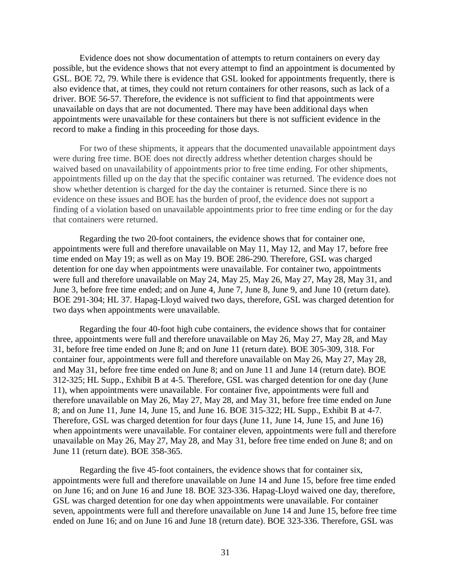Evidence does not show documentation of attempts to return containers on every day possible, but the evidence shows that not every attempt to find an appointment is documented by GSL. BOE 72, 79. While there is evidence that GSL looked for appointments frequently, there is also evidence that, at times, they could not return containers for other reasons, such as lack of a driver. BOE 56-57. Therefore, the evidence is not sufficient to find that appointments were unavailable on days that are not documented. There may have been additional days when appointments were unavailable for these containers but there is not sufficient evidence in the record to make a finding in this proceeding for those days.

For two of these shipments, it appears that the documented unavailable appointment days were during free time. BOE does not directly address whether detention charges should be waived based on unavailability of appointments prior to free time ending. For other shipments, appointments filled up on the day that the specific container was returned. The evidence does not show whether detention is charged for the day the container is returned. Since there is no evidence on these issues and BOE has the burden of proof, the evidence does not support a finding of a violation based on unavailable appointments prior to free time ending or for the day that containers were returned.

Regarding the two 20-foot containers, the evidence shows that for container one, appointments were full and therefore unavailable on May 11, May 12, and May 17, before free time ended on May 19; as well as on May 19. BOE 286-290. Therefore, GSL was charged detention for one day when appointments were unavailable. For container two, appointments were full and therefore unavailable on May 24, May 25, May 26, May 27, May 28, May 31, and June 3, before free time ended; and on June 4, June 7, June 8, June 9, and June 10 (return date). BOE 291-304; HL 37. Hapag-Lloyd waived two days, therefore, GSL was charged detention for two days when appointments were unavailable.

Regarding the four 40-foot high cube containers, the evidence shows that for container three, appointments were full and therefore unavailable on May 26, May 27, May 28, and May 31, before free time ended on June 8; and on June 11 (return date). BOE 305-309, 318. For container four, appointments were full and therefore unavailable on May 26, May 27, May 28, and May 31, before free time ended on June 8; and on June 11 and June 14 (return date). BOE 312-325; HL Supp., Exhibit B at 4-5. Therefore, GSL was charged detention for one day (June 11), when appointments were unavailable. For container five, appointments were full and therefore unavailable on May 26, May 27, May 28, and May 31, before free time ended on June 8; and on June 11, June 14, June 15, and June 16. BOE 315-322; HL Supp., Exhibit B at 4-7. Therefore, GSL was charged detention for four days (June 11, June 14, June 15, and June 16) when appointments were unavailable. For container eleven, appointments were full and therefore unavailable on May 26, May 27, May 28, and May 31, before free time ended on June 8; and on June 11 (return date). BOE 358-365.

Regarding the five 45-foot containers, the evidence shows that for container six, appointments were full and therefore unavailable on June 14 and June 15, before free time ended on June 16; and on June 16 and June 18. BOE 323-336. Hapag-Lloyd waived one day, therefore, GSL was charged detention for one day when appointments were unavailable. For container seven, appointments were full and therefore unavailable on June 14 and June 15, before free time ended on June 16; and on June 16 and June 18 (return date). BOE 323-336. Therefore, GSL was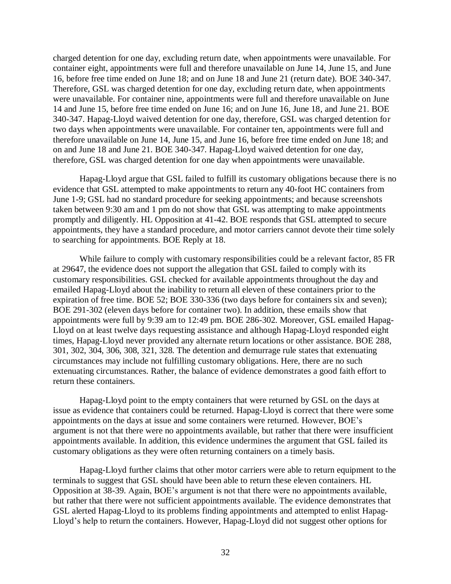charged detention for one day, excluding return date, when appointments were unavailable. For container eight, appointments were full and therefore unavailable on June 14, June 15, and June 16, before free time ended on June 18; and on June 18 and June 21 (return date). BOE 340-347. Therefore, GSL was charged detention for one day, excluding return date, when appointments were unavailable. For container nine, appointments were full and therefore unavailable on June 14 and June 15, before free time ended on June 16; and on June 16, June 18, and June 21. BOE 340-347. Hapag-Lloyd waived detention for one day, therefore, GSL was charged detention for two days when appointments were unavailable. For container ten, appointments were full and therefore unavailable on June 14, June 15, and June 16, before free time ended on June 18; and on and June 18 and June 21. BOE 340-347. Hapag-Lloyd waived detention for one day, therefore, GSL was charged detention for one day when appointments were unavailable.

Hapag-Lloyd argue that GSL failed to fulfill its customary obligations because there is no evidence that GSL attempted to make appointments to return any 40-foot HC containers from June 1-9; GSL had no standard procedure for seeking appointments; and because screenshots taken between 9:30 am and 1 pm do not show that GSL was attempting to make appointments promptly and diligently. HL Opposition at 41-42. BOE responds that GSL attempted to secure appointments, they have a standard procedure, and motor carriers cannot devote their time solely to searching for appointments. BOE Reply at 18.

While failure to comply with customary responsibilities could be a relevant factor, 85 FR at 29647, the evidence does not support the allegation that GSL failed to comply with its customary responsibilities. GSL checked for available appointments throughout the day and emailed Hapag-Lloyd about the inability to return all eleven of these containers prior to the expiration of free time. BOE 52; BOE 330-336 (two days before for containers six and seven); BOE 291-302 (eleven days before for container two). In addition, these emails show that appointments were full by 9:39 am to 12:49 pm. BOE 286-302. Moreover, GSL emailed Hapag-Lloyd on at least twelve days requesting assistance and although Hapag-Lloyd responded eight times, Hapag-Lloyd never provided any alternate return locations or other assistance. BOE 288, 301, 302, 304, 306, 308, 321, 328. The detention and demurrage rule states that extenuating circumstances may include not fulfilling customary obligations. Here, there are no such extenuating circumstances. Rather, the balance of evidence demonstrates a good faith effort to return these containers.

Hapag-Lloyd point to the empty containers that were returned by GSL on the days at issue as evidence that containers could be returned. Hapag-Lloyd is correct that there were some appointments on the days at issue and some containers were returned. However, BOE's argument is not that there were no appointments available, but rather that there were insufficient appointments available. In addition, this evidence undermines the argument that GSL failed its customary obligations as they were often returning containers on a timely basis.

Hapag-Lloyd further claims that other motor carriers were able to return equipment to the terminals to suggest that GSL should have been able to return these eleven containers. HL Opposition at 38-39. Again, BOE's argument is not that there were no appointments available, but rather that there were not sufficient appointments available. The evidence demonstrates that GSL alerted Hapag-Lloyd to its problems finding appointments and attempted to enlist Hapag-Lloyd's help to return the containers. However, Hapag-Lloyd did not suggest other options for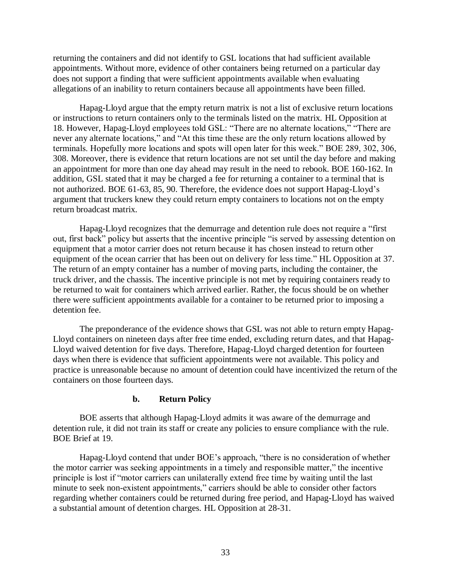returning the containers and did not identify to GSL locations that had sufficient available appointments. Without more, evidence of other containers being returned on a particular day does not support a finding that were sufficient appointments available when evaluating allegations of an inability to return containers because all appointments have been filled.

Hapag-Lloyd argue that the empty return matrix is not a list of exclusive return locations or instructions to return containers only to the terminals listed on the matrix. HL Opposition at 18. However, Hapag-Lloyd employees told GSL: "There are no alternate locations," "There are never any alternate locations," and "At this time these are the only return locations allowed by terminals. Hopefully more locations and spots will open later for this week." BOE 289, 302, 306, 308. Moreover, there is evidence that return locations are not set until the day before and making an appointment for more than one day ahead may result in the need to rebook. BOE 160-162. In addition, GSL stated that it may be charged a fee for returning a container to a terminal that is not authorized. BOE 61-63, 85, 90. Therefore, the evidence does not support Hapag-Lloyd's argument that truckers knew they could return empty containers to locations not on the empty return broadcast matrix.

Hapag-Lloyd recognizes that the demurrage and detention rule does not require a "first out, first back" policy but asserts that the incentive principle "is served by assessing detention on equipment that a motor carrier does not return because it has chosen instead to return other equipment of the ocean carrier that has been out on delivery for less time." HL Opposition at 37. The return of an empty container has a number of moving parts, including the container, the truck driver, and the chassis. The incentive principle is not met by requiring containers ready to be returned to wait for containers which arrived earlier. Rather, the focus should be on whether there were sufficient appointments available for a container to be returned prior to imposing a detention fee.

The preponderance of the evidence shows that GSL was not able to return empty Hapag-Lloyd containers on nineteen days after free time ended, excluding return dates, and that Hapag-Lloyd waived detention for five days. Therefore, Hapag-Lloyd charged detention for fourteen days when there is evidence that sufficient appointments were not available. This policy and practice is unreasonable because no amount of detention could have incentivized the return of the containers on those fourteen days.

#### **b. Return Policy**

BOE asserts that although Hapag-Lloyd admits it was aware of the demurrage and detention rule, it did not train its staff or create any policies to ensure compliance with the rule. BOE Brief at 19.

Hapag-Lloyd contend that under BOE's approach, "there is no consideration of whether the motor carrier was seeking appointments in a timely and responsible matter," the incentive principle is lost if "motor carriers can unilaterally extend free time by waiting until the last minute to seek non-existent appointments," carriers should be able to consider other factors regarding whether containers could be returned during free period, and Hapag-Lloyd has waived a substantial amount of detention charges. HL Opposition at 28-31.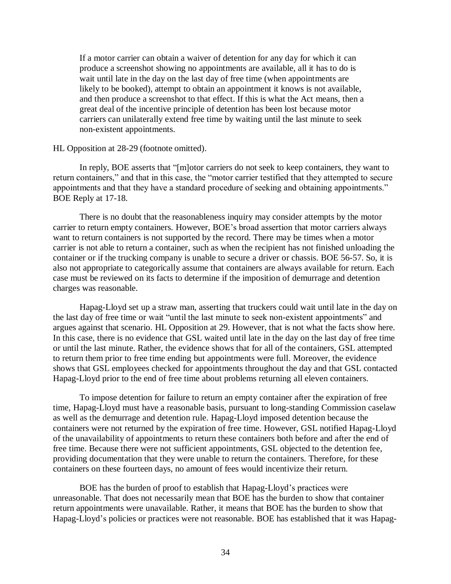If a motor carrier can obtain a waiver of detention for any day for which it can produce a screenshot showing no appointments are available, all it has to do is wait until late in the day on the last day of free time (when appointments are likely to be booked), attempt to obtain an appointment it knows is not available, and then produce a screenshot to that effect. If this is what the Act means, then a great deal of the incentive principle of detention has been lost because motor carriers can unilaterally extend free time by waiting until the last minute to seek non-existent appointments.

#### HL Opposition at 28-29 (footnote omitted).

In reply, BOE asserts that "[m]otor carriers do not seek to keep containers, they want to return containers," and that in this case, the "motor carrier testified that they attempted to secure appointments and that they have a standard procedure of seeking and obtaining appointments." BOE Reply at 17-18.

There is no doubt that the reasonableness inquiry may consider attempts by the motor carrier to return empty containers. However, BOE's broad assertion that motor carriers always want to return containers is not supported by the record. There may be times when a motor carrier is not able to return a container, such as when the recipient has not finished unloading the container or if the trucking company is unable to secure a driver or chassis. BOE 56-57. So, it is also not appropriate to categorically assume that containers are always available for return. Each case must be reviewed on its facts to determine if the imposition of demurrage and detention charges was reasonable.

Hapag-Lloyd set up a straw man, asserting that truckers could wait until late in the day on the last day of free time or wait "until the last minute to seek non-existent appointments" and argues against that scenario. HL Opposition at 29. However, that is not what the facts show here. In this case, there is no evidence that GSL waited until late in the day on the last day of free time or until the last minute. Rather, the evidence shows that for all of the containers, GSL attempted to return them prior to free time ending but appointments were full. Moreover, the evidence shows that GSL employees checked for appointments throughout the day and that GSL contacted Hapag-Lloyd prior to the end of free time about problems returning all eleven containers.

To impose detention for failure to return an empty container after the expiration of free time, Hapag-Lloyd must have a reasonable basis, pursuant to long-standing Commission caselaw as well as the demurrage and detention rule. Hapag-Lloyd imposed detention because the containers were not returned by the expiration of free time. However, GSL notified Hapag-Lloyd of the unavailability of appointments to return these containers both before and after the end of free time. Because there were not sufficient appointments, GSL objected to the detention fee, providing documentation that they were unable to return the containers. Therefore, for these containers on these fourteen days, no amount of fees would incentivize their return.

BOE has the burden of proof to establish that Hapag-Lloyd's practices were unreasonable. That does not necessarily mean that BOE has the burden to show that container return appointments were unavailable. Rather, it means that BOE has the burden to show that Hapag-Lloyd's policies or practices were not reasonable. BOE has established that it was Hapag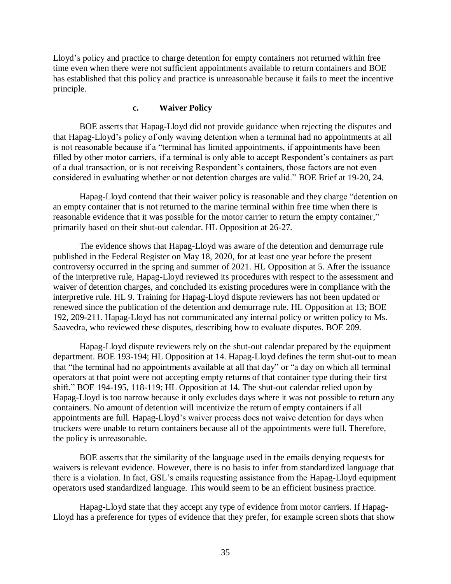Lloyd's policy and practice to charge detention for empty containers not returned within free time even when there were not sufficient appointments available to return containers and BOE has established that this policy and practice is unreasonable because it fails to meet the incentive principle.

#### **c. Waiver Policy**

BOE asserts that Hapag-Lloyd did not provide guidance when rejecting the disputes and that Hapag-Lloyd's policy of only waving detention when a terminal had no appointments at all is not reasonable because if a "terminal has limited appointments, if appointments have been filled by other motor carriers, if a terminal is only able to accept Respondent's containers as part of a dual transaction, or is not receiving Respondent's containers, those factors are not even considered in evaluating whether or not detention charges are valid." BOE Brief at 19-20, 24.

Hapag-Lloyd contend that their waiver policy is reasonable and they charge "detention on an empty container that is not returned to the marine terminal within free time when there is reasonable evidence that it was possible for the motor carrier to return the empty container," primarily based on their shut-out calendar. HL Opposition at 26-27.

The evidence shows that Hapag-Lloyd was aware of the detention and demurrage rule published in the Federal Register on May 18, 2020, for at least one year before the present controversy occurred in the spring and summer of 2021. HL Opposition at 5. After the issuance of the interpretive rule, Hapag-Lloyd reviewed its procedures with respect to the assessment and waiver of detention charges, and concluded its existing procedures were in compliance with the interpretive rule. HL 9. Training for Hapag-Lloyd dispute reviewers has not been updated or renewed since the publication of the detention and demurrage rule. HL Opposition at 13; BOE 192, 209-211. Hapag-Lloyd has not communicated any internal policy or written policy to Ms. Saavedra, who reviewed these disputes, describing how to evaluate disputes. BOE 209.

Hapag-Lloyd dispute reviewers rely on the shut-out calendar prepared by the equipment department. BOE 193-194; HL Opposition at 14. Hapag-Lloyd defines the term shut-out to mean that "the terminal had no appointments available at all that day" or "a day on which all terminal operators at that point were not accepting empty returns of that container type during their first shift." BOE 194-195, 118-119; HL Opposition at 14. The shut-out calendar relied upon by Hapag-Lloyd is too narrow because it only excludes days where it was not possible to return any containers. No amount of detention will incentivize the return of empty containers if all appointments are full. Hapag-Lloyd's waiver process does not waive detention for days when truckers were unable to return containers because all of the appointments were full. Therefore, the policy is unreasonable.

BOE asserts that the similarity of the language used in the emails denying requests for waivers is relevant evidence. However, there is no basis to infer from standardized language that there is a violation. In fact, GSL's emails requesting assistance from the Hapag-Lloyd equipment operators used standardized language. This would seem to be an efficient business practice.

Hapag-Lloyd state that they accept any type of evidence from motor carriers. If Hapag-Lloyd has a preference for types of evidence that they prefer, for example screen shots that show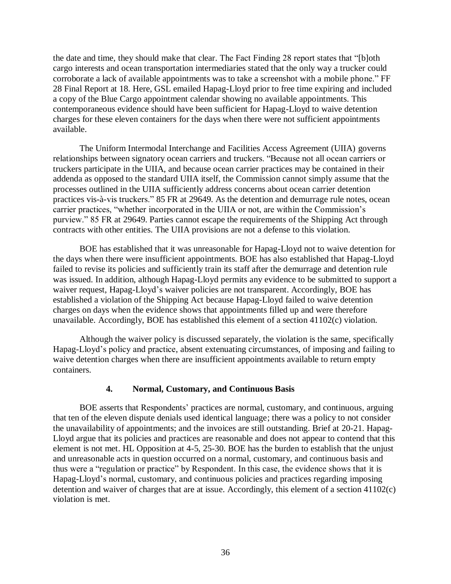the date and time, they should make that clear. The Fact Finding 28 report states that "[b]oth cargo interests and ocean transportation intermediaries stated that the only way a trucker could corroborate a lack of available appointments was to take a screenshot with a mobile phone." FF 28 Final Report at 18. Here, GSL emailed Hapag-Lloyd prior to free time expiring and included a copy of the Blue Cargo appointment calendar showing no available appointments. This contemporaneous evidence should have been sufficient for Hapag-Lloyd to waive detention charges for these eleven containers for the days when there were not sufficient appointments available.

The Uniform Intermodal Interchange and Facilities Access Agreement (UIIA) governs relationships between signatory ocean carriers and truckers. "Because not all ocean carriers or truckers participate in the UIIA, and because ocean carrier practices may be contained in their addenda as opposed to the standard UIIA itself, the Commission cannot simply assume that the processes outlined in the UIIA sufficiently address concerns about ocean carrier detention practices vis-à-vis truckers." 85 FR at 29649. As the detention and demurrage rule notes, ocean carrier practices, "whether incorporated in the UIIA or not, are within the Commission's purview." 85 FR at 29649. Parties cannot escape the requirements of the Shipping Act through contracts with other entities. The UIIA provisions are not a defense to this violation.

BOE has established that it was unreasonable for Hapag-Lloyd not to waive detention for the days when there were insufficient appointments. BOE has also established that Hapag-Lloyd failed to revise its policies and sufficiently train its staff after the demurrage and detention rule was issued. In addition, although Hapag-Lloyd permits any evidence to be submitted to support a waiver request, Hapag-Lloyd's waiver policies are not transparent. Accordingly, BOE has established a violation of the Shipping Act because Hapag-Lloyd failed to waive detention charges on days when the evidence shows that appointments filled up and were therefore unavailable. Accordingly, BOE has established this element of a section 41102(c) violation.

Although the waiver policy is discussed separately, the violation is the same, specifically Hapag-Lloyd's policy and practice, absent extenuating circumstances, of imposing and failing to waive detention charges when there are insufficient appointments available to return empty containers.

#### **4. Normal, Customary, and Continuous Basis**

BOE asserts that Respondents' practices are normal, customary, and continuous, arguing that ten of the eleven dispute denials used identical language; there was a policy to not consider the unavailability of appointments; and the invoices are still outstanding. Brief at 20-21. Hapag-Lloyd argue that its policies and practices are reasonable and does not appear to contend that this element is not met. HL Opposition at 4-5, 25-30. BOE has the burden to establish that the unjust and unreasonable acts in question occurred on a normal, customary, and continuous basis and thus were a "regulation or practice" by Respondent. In this case, the evidence shows that it is Hapag-Lloyd's normal, customary, and continuous policies and practices regarding imposing detention and waiver of charges that are at issue. Accordingly, this element of a section 41102(c) violation is met.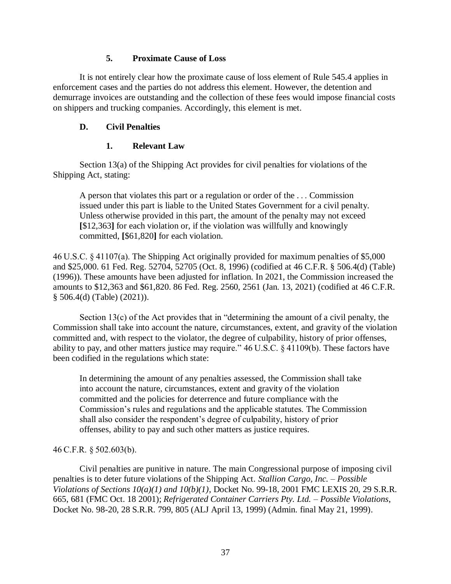### **5. Proximate Cause of Loss**

It is not entirely clear how the proximate cause of loss element of Rule 545.4 applies in enforcement cases and the parties do not address this element. However, the detention and demurrage invoices are outstanding and the collection of these fees would impose financial costs on shippers and trucking companies. Accordingly, this element is met.

# **D. Civil Penalties**

#### **1. Relevant Law**

Section 13(a) of the Shipping Act provides for civil penalties for violations of the Shipping Act, stating:

A person that violates this part or a regulation or order of the . . . Commission issued under this part is liable to the United States Government for a civil penalty. Unless otherwise provided in this part, the amount of the penalty may not exceed **[**\$12,363**]** for each violation or, if the violation was willfully and knowingly committed, **[**\$61,820**]** for each violation.

46 U.S.C. § 41107(a). The Shipping Act originally provided for maximum penalties of \$5,000 and \$25,000. 61 Fed. Reg. 52704, 52705 (Oct. 8, 1996) (codified at 46 C.F.R. § 506.4(d) (Table) (1996)). These amounts have been adjusted for inflation. In 2021, the Commission increased the amounts to \$12,363 and \$61,820. 86 Fed. Reg. 2560, 2561 (Jan. 13, 2021) (codified at 46 C.F.R. § 506.4(d) (Table) (2021)).

Section 13(c) of the Act provides that in "determining the amount of a civil penalty, the Commission shall take into account the nature, circumstances, extent, and gravity of the violation committed and, with respect to the violator, the degree of culpability, history of prior offenses, ability to pay, and other matters justice may require." 46 U.S.C. § 41109(b). These factors have been codified in the regulations which state:

In determining the amount of any penalties assessed, the Commission shall take into account the nature, circumstances, extent and gravity of the violation committed and the policies for deterrence and future compliance with the Commission's rules and regulations and the applicable statutes. The Commission shall also consider the respondent's degree of culpability, history of prior offenses, ability to pay and such other matters as justice requires.

#### 46 C.F.R. § 502.603(b).

Civil penalties are punitive in nature. The main Congressional purpose of imposing civil penalties is to deter future violations of the Shipping Act. *Stallion Cargo, Inc. – Possible Violations of Sections 10(a)(1) and 10(b)(1)*, Docket No. 99-18, 2001 FMC LEXIS 20, 29 S.R.R. 665, 681 (FMC Oct. 18 2001); *Refrigerated Container Carriers Pty. Ltd. – Possible Violations*, Docket No. 98-20, 28 S.R.R. 799, 805 (ALJ April 13, 1999) (Admin. final May 21, 1999).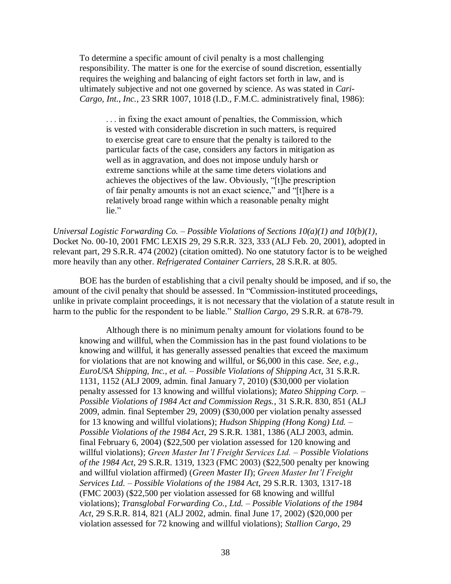To determine a specific amount of civil penalty is a most challenging responsibility. The matter is one for the exercise of sound discretion, essentially requires the weighing and balancing of eight factors set forth in law, and is ultimately subjective and not one governed by science. As was stated in *Cari-Cargo, Int., Inc.*, 23 SRR 1007, 1018 (I.D., F.M.C. administratively final, 1986):

. . . in fixing the exact amount of penalties, the Commission, which is vested with considerable discretion in such matters, is required to exercise great care to ensure that the penalty is tailored to the particular facts of the case, considers any factors in mitigation as well as in aggravation, and does not impose unduly harsh or extreme sanctions while at the same time deters violations and achieves the objectives of the law. Obviously, "[t]he prescription of fair penalty amounts is not an exact science," and "[t]here is a relatively broad range within which a reasonable penalty might lie."

*Universal Logistic Forwarding Co. – Possible Violations of Sections 10(a)(1) and 10(b)(1)*, Docket No. 00-10, 2001 FMC LEXIS 29, 29 S.R.R. 323, 333 (ALJ Feb. 20, 2001), adopted in relevant part, 29 S.R.R. 474 (2002) (citation omitted). No one statutory factor is to be weighed more heavily than any other. *Refrigerated Container Carriers*, 28 S.R.R. at 805.

BOE has the burden of establishing that a civil penalty should be imposed, and if so, the amount of the civil penalty that should be assessed. In "Commission-instituted proceedings, unlike in private complaint proceedings, it is not necessary that the violation of a statute result in harm to the public for the respondent to be liable." *Stallion Cargo*, 29 S.R.R. at 678-79.

Although there is no minimum penalty amount for violations found to be knowing and willful, when the Commission has in the past found violations to be knowing and willful, it has generally assessed penalties that exceed the maximum for violations that are not knowing and willful, or \$6,000 in this case. *See, e.g., EuroUSA Shipping, Inc., et al. – Possible Violations of Shipping Act*, 31 S.R.R. 1131, 1152 (ALJ 2009, admin. final January 7, 2010) (\$30,000 per violation penalty assessed for 13 knowing and willful violations); *Mateo Shipping Corp. – Possible Violations of 1984 Act and Commission Regs.*, 31 S.R.R. 830, 851 (ALJ 2009, admin. final September 29, 2009) (\$30,000 per violation penalty assessed for 13 knowing and willful violations); *Hudson Shipping (Hong Kong) Ltd. – Possible Violations of the 1984 Act*, 29 S.R.R. 1381, 1386 (ALJ 2003, admin. final February 6, 2004) (\$22,500 per violation assessed for 120 knowing and willful violations); *Green Master Int'l Freight Services Ltd. – Possible Violations of the 1984 Act*, 29 S.R.R. 1319, 1323 (FMC 2003) (\$22,500 penalty per knowing and willful violation affirmed) (*Green Master II*); *Green Master Int'l Freight Services Ltd. – Possible Violations of the 1984 Act*, 29 S.R.R. 1303, 1317-18 (FMC 2003) (\$22,500 per violation assessed for 68 knowing and willful violations); *Transglobal Forwarding Co., Ltd. – Possible Violations of the 1984 Act*, 29 S.R.R. 814, 821 (ALJ 2002, admin. final June 17, 2002) (\$20,000 per violation assessed for 72 knowing and willful violations); *Stallion Cargo*, 29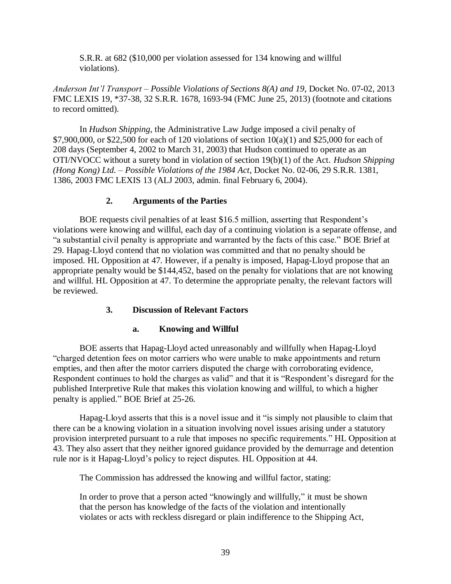S.R.R. at 682 (\$10,000 per violation assessed for 134 knowing and willful violations).

*Anderson Int'l Transport – Possible Violations of Sections 8(A) and 19*, Docket No. 07-02, 2013 FMC LEXIS 19, \*37-38, 32 S.R.R. 1678, 1693-94 (FMC June 25, 2013) (footnote and citations to record omitted).

In *Hudson Shipping*, the Administrative Law Judge imposed a civil penalty of \$7,900,000, or \$22,500 for each of 120 violations of section  $10(a)(1)$  and \$25,000 for each of 208 days (September 4, 2002 to March 31, 2003) that Hudson continued to operate as an OTI/NVOCC without a surety bond in violation of section 19(b)(1) of the Act. *Hudson Shipping (Hong Kong) Ltd. – Possible Violations of the 1984 Act*, Docket No. 02-06, 29 S.R.R. 1381, 1386, 2003 FMC LEXIS 13 (ALJ 2003, admin. final February 6, 2004).

# **2. Arguments of the Parties**

BOE requests civil penalties of at least \$16.5 million, asserting that Respondent's violations were knowing and willful, each day of a continuing violation is a separate offense, and "a substantial civil penalty is appropriate and warranted by the facts of this case." BOE Brief at 29. Hapag-Lloyd contend that no violation was committed and that no penalty should be imposed. HL Opposition at 47. However, if a penalty is imposed, Hapag-Lloyd propose that an appropriate penalty would be \$144,452, based on the penalty for violations that are not knowing and willful. HL Opposition at 47. To determine the appropriate penalty, the relevant factors will be reviewed.

# **3. Discussion of Relevant Factors**

# **a. Knowing and Willful**

BOE asserts that Hapag-Lloyd acted unreasonably and willfully when Hapag-Lloyd "charged detention fees on motor carriers who were unable to make appointments and return empties, and then after the motor carriers disputed the charge with corroborating evidence, Respondent continues to hold the charges as valid" and that it is "Respondent's disregard for the published Interpretive Rule that makes this violation knowing and willful, to which a higher penalty is applied." BOE Brief at 25-26.

Hapag-Lloyd asserts that this is a novel issue and it "is simply not plausible to claim that there can be a knowing violation in a situation involving novel issues arising under a statutory provision interpreted pursuant to a rule that imposes no specific requirements." HL Opposition at 43. They also assert that they neither ignored guidance provided by the demurrage and detention rule nor is it Hapag-Lloyd's policy to reject disputes. HL Opposition at 44.

The Commission has addressed the knowing and willful factor, stating:

In order to prove that a person acted "knowingly and willfully," it must be shown that the person has knowledge of the facts of the violation and intentionally violates or acts with reckless disregard or plain indifference to the Shipping Act,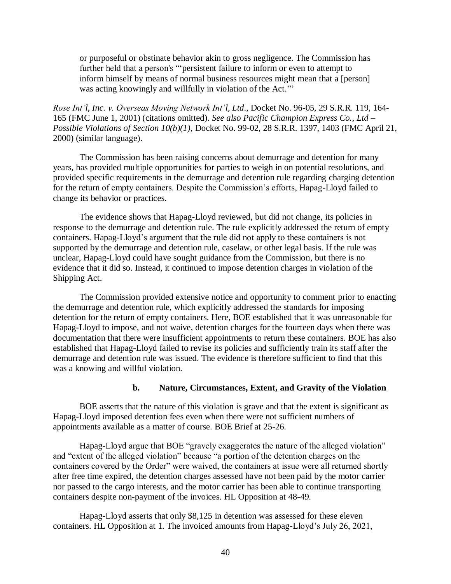or purposeful or obstinate behavior akin to gross negligence. The Commission has further held that a person's "'persistent failure to inform or even to attempt to inform himself by means of normal business resources might mean that a [person] was acting knowingly and willfully in violation of the Act."'

*Rose Int'l, Inc. v. Overseas Moving Network Int'l, Ltd*., Docket No. 96-05, 29 S.R.R. 119, 164- 165 (FMC June 1, 2001) (citations omitted). *See also Pacific Champion Express Co., Ltd – Possible Violations of Section 10(b)(1)*, Docket No. 99-02, 28 S.R.R. 1397, 1403 (FMC April 21, 2000) (similar language).

The Commission has been raising concerns about demurrage and detention for many years, has provided multiple opportunities for parties to weigh in on potential resolutions, and provided specific requirements in the demurrage and detention rule regarding charging detention for the return of empty containers. Despite the Commission's efforts, Hapag-Lloyd failed to change its behavior or practices.

The evidence shows that Hapag-Lloyd reviewed, but did not change, its policies in response to the demurrage and detention rule. The rule explicitly addressed the return of empty containers. Hapag-Lloyd's argument that the rule did not apply to these containers is not supported by the demurrage and detention rule, caselaw, or other legal basis. If the rule was unclear, Hapag-Lloyd could have sought guidance from the Commission, but there is no evidence that it did so. Instead, it continued to impose detention charges in violation of the Shipping Act.

The Commission provided extensive notice and opportunity to comment prior to enacting the demurrage and detention rule, which explicitly addressed the standards for imposing detention for the return of empty containers. Here, BOE established that it was unreasonable for Hapag-Lloyd to impose, and not waive, detention charges for the fourteen days when there was documentation that there were insufficient appointments to return these containers. BOE has also established that Hapag-Lloyd failed to revise its policies and sufficiently train its staff after the demurrage and detention rule was issued. The evidence is therefore sufficient to find that this was a knowing and willful violation.

#### **b. Nature, Circumstances, Extent, and Gravity of the Violation**

BOE asserts that the nature of this violation is grave and that the extent is significant as Hapag-Lloyd imposed detention fees even when there were not sufficient numbers of appointments available as a matter of course. BOE Brief at 25-26.

Hapag-Lloyd argue that BOE "gravely exaggerates the nature of the alleged violation" and "extent of the alleged violation" because "a portion of the detention charges on the containers covered by the Order" were waived, the containers at issue were all returned shortly after free time expired, the detention charges assessed have not been paid by the motor carrier nor passed to the cargo interests, and the motor carrier has been able to continue transporting containers despite non-payment of the invoices. HL Opposition at 48-49.

Hapag-Lloyd asserts that only \$8,125 in detention was assessed for these eleven containers. HL Opposition at 1. The invoiced amounts from Hapag-Lloyd's July 26, 2021,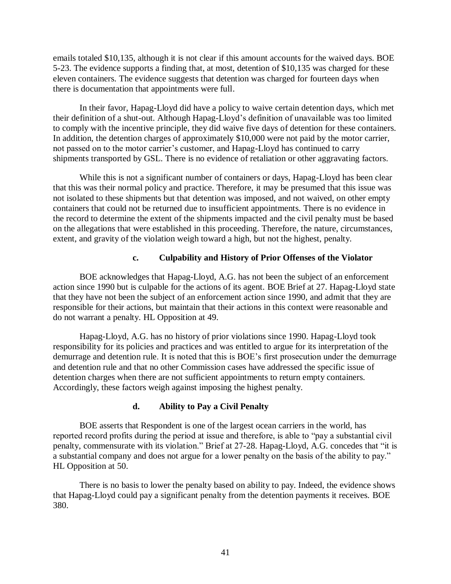emails totaled \$10,135, although it is not clear if this amount accounts for the waived days. BOE 5-23. The evidence supports a finding that, at most, detention of \$10,135 was charged for these eleven containers. The evidence suggests that detention was charged for fourteen days when there is documentation that appointments were full.

In their favor, Hapag-Lloyd did have a policy to waive certain detention days, which met their definition of a shut-out. Although Hapag-Lloyd's definition of unavailable was too limited to comply with the incentive principle, they did waive five days of detention for these containers. In addition, the detention charges of approximately \$10,000 were not paid by the motor carrier, not passed on to the motor carrier's customer, and Hapag-Lloyd has continued to carry shipments transported by GSL. There is no evidence of retaliation or other aggravating factors.

While this is not a significant number of containers or days, Hapag-Lloyd has been clear that this was their normal policy and practice. Therefore, it may be presumed that this issue was not isolated to these shipments but that detention was imposed, and not waived, on other empty containers that could not be returned due to insufficient appointments. There is no evidence in the record to determine the extent of the shipments impacted and the civil penalty must be based on the allegations that were established in this proceeding. Therefore, the nature, circumstances, extent, and gravity of the violation weigh toward a high, but not the highest, penalty.

### **c. Culpability and History of Prior Offenses of the Violator**

BOE acknowledges that Hapag-Lloyd, A.G. has not been the subject of an enforcement action since 1990 but is culpable for the actions of its agent. BOE Brief at 27. Hapag-Lloyd state that they have not been the subject of an enforcement action since 1990, and admit that they are responsible for their actions, but maintain that their actions in this context were reasonable and do not warrant a penalty. HL Opposition at 49.

Hapag-Lloyd, A.G. has no history of prior violations since 1990. Hapag-Lloyd took responsibility for its policies and practices and was entitled to argue for its interpretation of the demurrage and detention rule. It is noted that this is BOE's first prosecution under the demurrage and detention rule and that no other Commission cases have addressed the specific issue of detention charges when there are not sufficient appointments to return empty containers. Accordingly, these factors weigh against imposing the highest penalty.

# **d. Ability to Pay a Civil Penalty**

BOE asserts that Respondent is one of the largest ocean carriers in the world, has reported record profits during the period at issue and therefore, is able to "pay a substantial civil penalty, commensurate with its violation." Brief at 27-28. Hapag-Lloyd, A.G. concedes that "it is a substantial company and does not argue for a lower penalty on the basis of the ability to pay." HL Opposition at 50.

There is no basis to lower the penalty based on ability to pay. Indeed, the evidence shows that Hapag-Lloyd could pay a significant penalty from the detention payments it receives. BOE 380.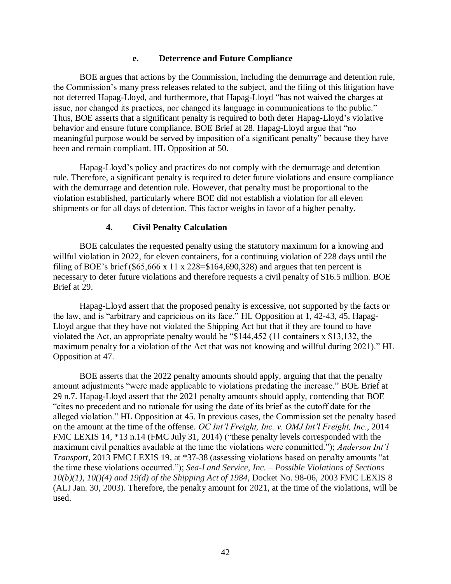#### **e. Deterrence and Future Compliance**

BOE argues that actions by the Commission, including the demurrage and detention rule, the Commission's many press releases related to the subject, and the filing of this litigation have not deterred Hapag-Lloyd, and furthermore, that Hapag-Lloyd "has not waived the charges at issue, nor changed its practices, nor changed its language in communications to the public." Thus, BOE asserts that a significant penalty is required to both deter Hapag-Lloyd's violative behavior and ensure future compliance. BOE Brief at 28. Hapag-Lloyd argue that "no meaningful purpose would be served by imposition of a significant penalty" because they have been and remain compliant. HL Opposition at 50.

Hapag-Lloyd's policy and practices do not comply with the demurrage and detention rule. Therefore, a significant penalty is required to deter future violations and ensure compliance with the demurrage and detention rule. However, that penalty must be proportional to the violation established, particularly where BOE did not establish a violation for all eleven shipments or for all days of detention. This factor weighs in favor of a higher penalty.

#### **4. Civil Penalty Calculation**

BOE calculates the requested penalty using the statutory maximum for a knowing and willful violation in 2022, for eleven containers, for a continuing violation of 228 days until the filing of BOE's brief (\$65,666 x 11 x 228=\$164,690,328) and argues that ten percent is necessary to deter future violations and therefore requests a civil penalty of \$16.5 million. BOE Brief at 29.

Hapag-Lloyd assert that the proposed penalty is excessive, not supported by the facts or the law, and is "arbitrary and capricious on its face." HL Opposition at 1, 42-43, 45. Hapag-Lloyd argue that they have not violated the Shipping Act but that if they are found to have violated the Act, an appropriate penalty would be "\$144,452 (11 containers x \$13,132, the maximum penalty for a violation of the Act that was not knowing and willful during 2021)." HL Opposition at 47.

BOE asserts that the 2022 penalty amounts should apply, arguing that that the penalty amount adjustments "were made applicable to violations predating the increase." BOE Brief at 29 n.7. Hapag-Lloyd assert that the 2021 penalty amounts should apply, contending that BOE "cites no precedent and no rationale for using the date of its brief as the cutoff date for the alleged violation." HL Opposition at 45. In previous cases, the Commission set the penalty based on the amount at the time of the offense. *OC Int'l Freight, Inc. v. OMJ Int'l Freight, Inc.*, 2014 FMC LEXIS 14, \*13 n.14 (FMC July 31, 2014) ("these penalty levels corresponded with the maximum civil penalties available at the time the violations were committed."); *Anderson Int'l Transport*, 2013 FMC LEXIS 19, at \*37-38 (assessing violations based on penalty amounts "at the time these violations occurred."); *Sea-Land Service, Inc. – Possible Violations of Sections 10(b)(1), 10()(4) and 19(d) of the Shipping Act of 1984,* Docket No. 98-06, 2003 FMC LEXIS 8 (ALJ Jan. 30, 2003). Therefore, the penalty amount for 2021, at the time of the violations, will be used.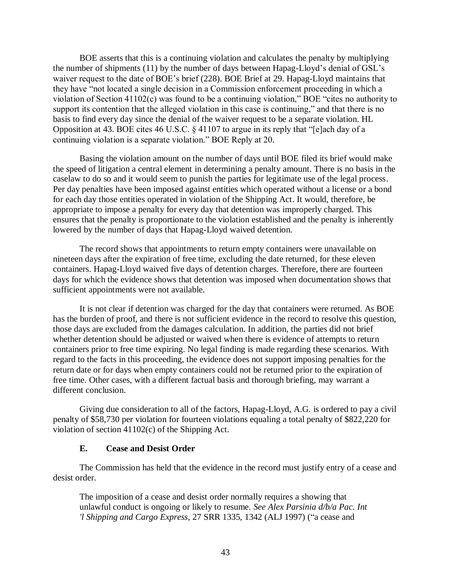BOE asserts that this is a continuing violation and calculates the penalty by multiplying the number of shipments (11) by the number of days between Hapag-Lloyd's denial of GSL's waiver request to the date of BOE's brief (228). BOE Brief at 29. Hapag-Lloyd maintains that they have "not located a single decision in a Commission enforcement proceeding in which a violation of Section 41102(c) was found to be a continuing violation," BOE "cites no authority to support its contention that the alleged violation in this case is continuing," and that there is no basis to find every day since the denial of the waiver request to be a separate violation. HL Opposition at 43. BOE cites 46 U.S.C. § 41107 to argue in its reply that "[e]ach day of a continuing violation is a separate violation." BOE Reply at 20.

Basing the violation amount on the number of days until BOE filed its brief would make the speed of litigation a central element in determining a penalty amount. There is no basis in the caselaw to do so and it would seem to punish the parties for legitimate use of the legal process. Per day penalties have been imposed against entities which operated without a license or a bond for each day those entities operated in violation of the Shipping Act. It would, therefore, be appropriate to impose a penalty for every day that detention was improperly charged. This ensures that the penalty is proportionate to the violation established and the penalty is inherently lowered by the number of days that Hapag-Lloyd waived detention.

The record shows that appointments to return empty containers were unavailable on nineteen days after the expiration of free time, excluding the date returned, for these eleven containers. Hapag-Lloyd waived five days of detention charges. Therefore, there are fourteen days for which the evidence shows that detention was imposed when documentation shows that sufficient appointments were not available.

It is not clear if detention was charged for the day that containers were returned. As BOE has the burden of proof, and there is not sufficient evidence in the record to resolve this question, those days are excluded from the damages calculation. In addition, the parties did not brief whether detention should be adjusted or waived when there is evidence of attempts to return containers prior to free time expiring. No legal finding is made regarding these scenarios. With regard to the facts in this proceeding, the evidence does not support imposing penalties for the return date or for days when empty containers could not be returned prior to the expiration of free time. Other cases, with a different factual basis and thorough briefing, may warrant a different conclusion.

Giving due consideration to all of the factors, Hapag-Lloyd, A.G. is ordered to pay a civil penalty of \$58,730 per violation for fourteen violations equaling a total penalty of \$822,220 for violation of section 41102(c) of the Shipping Act.

#### **E. Cease and Desist Order**

The Commission has held that the evidence in the record must justify entry of a cease and desist order.

The imposition of a cease and desist order normally requires a showing that unlawful conduct is ongoing or likely to resume. *See Alex Parsinia d/b/a Pac. Int 'l Shipping and Cargo Express*, 27 SRR 1335, 1342 (ALJ 1997) ("a cease and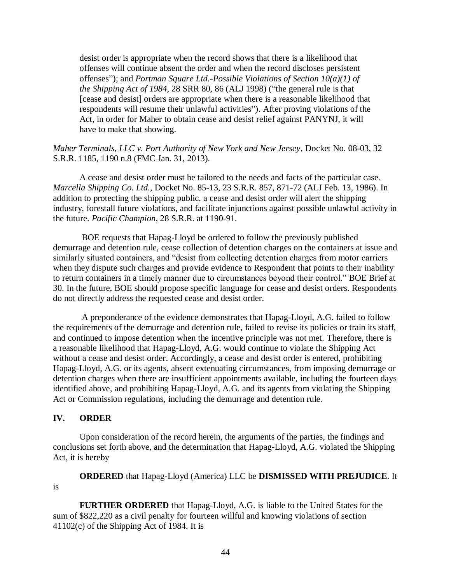desist order is appropriate when the record shows that there is a likelihood that offenses will continue absent the order and when the record discloses persistent offenses"); and *Portman Square Ltd.-Possible Violations of Section 10(a)(1) of the Shipping Act of 1984*, 28 SRR 80, 86 (ALJ 1998) ("the general rule is that [cease and desist] orders are appropriate when there is a reasonable likelihood that respondents will resume their unlawful activities"). After proving violations of the Act, in order for Maher to obtain cease and desist relief against PANYNJ, it will have to make that showing.

#### *Maher Terminals, LLC v. Port Authority of New York and New Jersey*, Docket No. 08-03, 32 S.R.R. 1185, 1190 n.8 (FMC Jan. 31, 2013).

A cease and desist order must be tailored to the needs and facts of the particular case. *Marcella Shipping Co. Ltd.*, Docket No. 85-13, 23 S.R.R. 857, 871-72 (ALJ Feb. 13, 1986). In addition to protecting the shipping public, a cease and desist order will alert the shipping industry, forestall future violations, and facilitate injunctions against possible unlawful activity in the future. *Pacific Champion*, 28 S.R.R. at 1190-91.

BOE requests that Hapag-Lloyd be ordered to follow the previously published demurrage and detention rule, cease collection of detention charges on the containers at issue and similarly situated containers, and "desist from collecting detention charges from motor carriers when they dispute such charges and provide evidence to Respondent that points to their inability to return containers in a timely manner due to circumstances beyond their control." BOE Brief at 30. In the future, BOE should propose specific language for cease and desist orders. Respondents do not directly address the requested cease and desist order.

A preponderance of the evidence demonstrates that Hapag-Lloyd, A.G. failed to follow the requirements of the demurrage and detention rule, failed to revise its policies or train its staff, and continued to impose detention when the incentive principle was not met. Therefore, there is a reasonable likelihood that Hapag-Lloyd, A.G. would continue to violate the Shipping Act without a cease and desist order. Accordingly, a cease and desist order is entered, prohibiting Hapag-Lloyd, A.G. or its agents, absent extenuating circumstances, from imposing demurrage or detention charges when there are insufficient appointments available, including the fourteen days identified above, and prohibiting Hapag-Lloyd, A.G. and its agents from violating the Shipping Act or Commission regulations, including the demurrage and detention rule.

#### **IV. ORDER**

Upon consideration of the record herein, the arguments of the parties, the findings and conclusions set forth above, and the determination that Hapag-Lloyd, A.G. violated the Shipping Act, it is hereby

**ORDERED** that Hapag-Lloyd (America) LLC be **DISMISSED WITH PREJUDICE**. It is

**FURTHER ORDERED** that Hapag-Lloyd, A.G. is liable to the United States for the sum of \$822,220 as a civil penalty for fourteen willful and knowing violations of section 41102(c) of the Shipping Act of 1984. It is